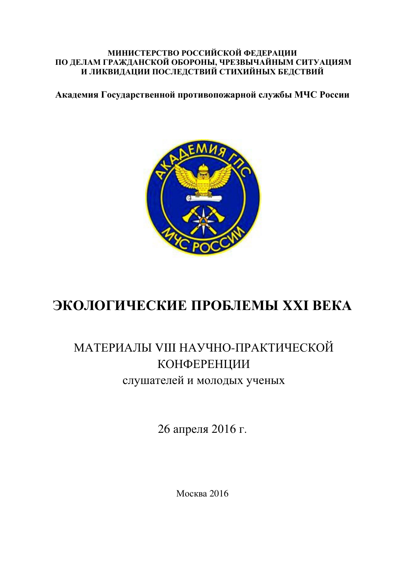#### **МИНИСТЕРСТВО РОССИЙСКОЙ ФЕДЕРАЦИИ** ПО ДЕЛАМ ГРАЖДАНСКОЙ ОБОРОНЫ, ЧРЕЗВЫЧАЙНЫМ СИТУАЦИЯМ И ЛИКВИДАЦИИ ПОСЛЕДСТВИЙ СТИХИЙНЫХ БЕДСТВИЙ

Академия Государственной противопожарной службы МЧС России



# ЭКОЛОГИЧЕСКИЕ ПРОБЛЕМЫ XXI ВЕКА

# МАТЕРИАЛЫ VIII НАУЧНО-ПРАКТИЧЕСКОЙ КОНФЕРЕНЦИИ слушателей и молодых ученых

26 апреля 2016 г.

Москва 2016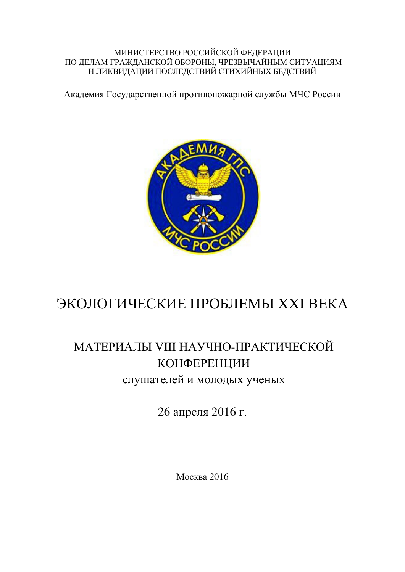#### МИНИСТЕРСТВО РОССИЙСКОЙ ФЕДЕРАЦИИ ПО ДЕЛАМ ГРАЖДАНСКОЙ ОБОРОНЫ, ЧРЕЗВЫЧАЙНЫМ СИТУАЦИЯМ И ЛИКВИДАЦИИ ПОСЛЕДСТВИЙ СТИХИЙНЫХ БЕДСТВИЙ

Академия Государственной противопожарной службы МЧС России



# ЭКОЛОГИЧЕСКИЕ ПРОБЛЕМЫ XXI ВЕКА

## МАТЕРИАЛЫ VIII НАУЧНО-ПРАКТИЧЕСКОЙ КОНФЕРЕНЦИИ слушателей и молодых ученых

26 апреля 2016 г.

Москва 2016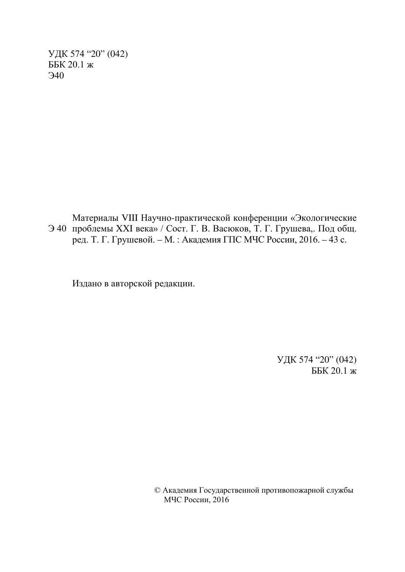УДК 574 "20" (042) ББК 20.1 ж  $\Theta$ 40

Э 40 проблемы XXI века» / Сост. Г. В. Васюков, Т. Г. Грушева,. Под общ. Материалы VIII Научно-практической конференции «Экологические ред. Т. Г. Грушевой. – М. : Академия ГПС МЧС России, 2016. – 43 с.

Издано в авторской редакции.

УДК 574 "20" (042) ББК 20.1 ж

© Академия Государственной противопожарной службы MЧС России, 2016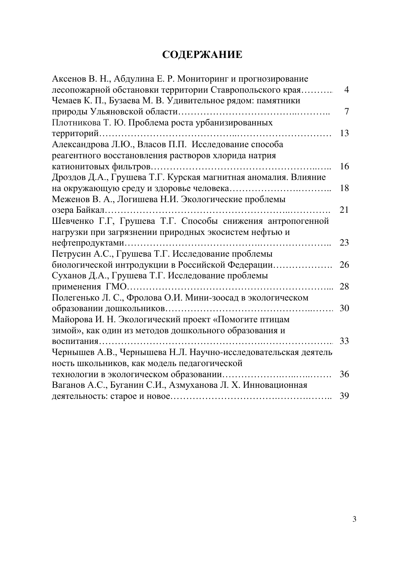## СОДЕРЖАНИЕ

| Аксенов В. Н., Абдулина Е. Р. Мониторинг и прогнозирование     |                |
|----------------------------------------------------------------|----------------|
| лесопожарной обстановки территории Ставропольского края        | $\overline{4}$ |
| Чемаев К. П., Бузаева М. В. Удивительное рядом: памятники      |                |
|                                                                | 7              |
| Плотникова Т. Ю. Проблема роста урбанизированных               |                |
|                                                                | 13             |
| Александрова Л.Ю., Власов П.П. Исследование способа            |                |
| реагентного восстановления растворов хлорида натрия            |                |
|                                                                | 16             |
| Дроздов Д.А., Грушева Т.Г. Курская магнитная аномалия. Влияние |                |
|                                                                | 18             |
| Меженов В. А., Логишева Н.И. Экологические проблемы            |                |
|                                                                | 21             |
| Шевченко Г.Г, Грушева Т.Г. Способы снижения антропогенной      |                |
| нагрузки при загрязнении природных экосистем нефтью и          |                |
|                                                                | 23             |
| Петрусин А.С., Грушева Т.Г. Исследование проблемы              |                |
| биологической интродукции в Российской Федерации               | 26             |
| Суханов Д.А., Грушева Т.Г. Исследование проблемы               |                |
| применения ГМО                                                 | 28             |
| Полегенько Л. С., Фролова О.И. Мини-зоосад в экологическом     |                |
|                                                                | 30             |
| Майорова И. Н. Экологический проект «Помогите птицам           |                |
| зимой», как один из методов дошкольного образования и          |                |
| воспитания                                                     | 33             |
| Чернышев А.В., Чернышева Н.Л. Научно-исследовательская деятель |                |
| ность школьников, как модель педагогической                    |                |
|                                                                | 36             |
| Ваганов А.С., Буганин С.И., Азмуханова Л. Х. Инновационная     |                |
|                                                                | 39             |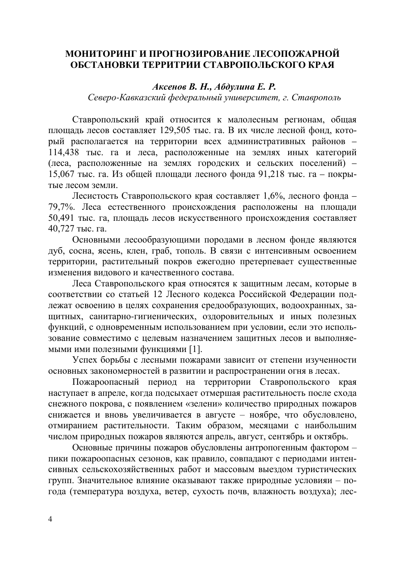### МОНИТОРИНГ И ПРОГНОЗИРОВАНИЕ ЛЕСОПОЖАРНОЙ ОБСТАНОВКИ ТЕРРИТРИИ СТАВРОПОЛЬСКОГО КРАЯ

#### $A$ *ксенов В. Н., Абдулина Е. Р.*

Северо-Кавказский федеральный университет, г. Ставрополь

Ставропольский край относится к малолесным регионам, общая площадь лесов составляет 129,505 тыс. га. В их числе лесной фонд, который располагается на территории всех административных районов -114,438 тыс. га и леса, расположенные на землях иных категорий (леса, расположенные на землях городских и сельских поселений) – 15,067 тыс. га. Из общей площади лесного фонда 91,218 тыс. га – покрытые лесом земли.

Лесистость Ставропольского края составляет 1,6%, лесного фонда – 79,7%. Леса естественного происхождения расположены на площади 50,491 тыс. га, площадь лесов искусственного происхождения составляет 40,727 тыс. га.

Основными лесообразующими породами в лесном фонде являются дуб, сосна, ясень, клен, граб, тополь. В связи с интенсивным освоением территории, растительный покров ежегодно претерпевает существенные изменения видового и качественного состава.

Леса Ставропольского края относятся к защитным лесам, которые в соответствии со статьей 12 Лесного кодекса Российской Федерации подлежат освоению в целях сохранения средообразующих, водоохранных, защитных, санитарно-гигиенических, оздоровительных и иных полезных функций, с одновременным использованием при условии, если это использование совместимо с целевым назначением защитных лесов и выполняемыми ими полезными функциями [1].

Успех борьбы с лесными пожарами зависит от степени изученности основных закономерностей в развитии и распространении огня в лесах.

Пожароопасный период на территории Ставропольского края наступает в апреле, когда подсыхает отмершая растительность после схода снежного покрова, с появлением «зелени» количество природных пожаров снижается и вновь увеличивается в августе - ноябре, что обусловлено, отмиранием растительности. Таким образом, месяцами с наибольшим числом природных пожаров являются апрель, август, сентябрь и октябрь.

Основные причины пожаров обусловлены антропогенным фактором – пики пожароопасных сезонов, как правило, совпадают с периодами интенсивных сельскохозяйственных работ и массовым выездом туристических групп. Значительное влияние оказывают также природные условияи - погода (температура воздуха, ветер, сухость почв, влажность воздуха); лес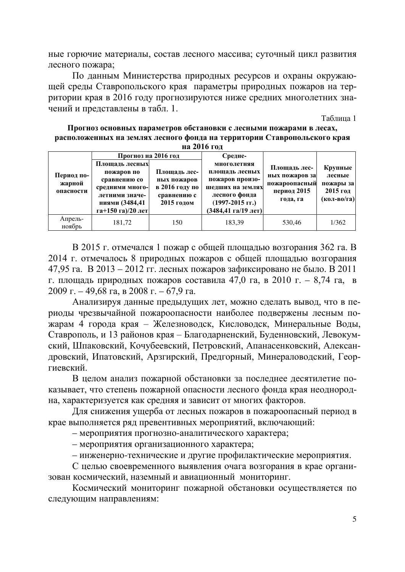ные горючие материалы, состав лесного массива; суточный цикл развития лесного пожара;

По данным Министерства природных ресурсов и охраны окружающей среды Ставропольского края параметры природных пожаров на территории края в 2016 году прогнозируются ниже средних многолетних значений и представлены в табл. 1.

Таблина 1

| Прогноз основных параметров обстановки с лесными пожарами в лесах,       |
|--------------------------------------------------------------------------|
| расположенных на землях лесного фонда на территории Ставропольского края |
| -на 2016 гол                                                             |

| Период по-<br>жарной<br>опасности | Прогноз на 2016 год<br>Площадь лесных<br>пожаров по<br>сравнению со<br>средними много-<br>летними значе-<br>ниями (3484,41 | Площадь лес-<br>ных пожаров<br>в 2016 году по<br>сравнению с<br>2015 годом | Средне-<br>многолетняя<br>площадь лесных<br>пожаров произо-<br>шедших на землях<br>лесного фонда<br>$(1997-2015$ rr.) | Площадь лес-<br>ных пожаров за<br>пожароопасный<br>период 2015<br>года, га | Крупные<br>лесные<br>пожары за<br>$2015$ год<br>(кол-во/га) |
|-----------------------------------|----------------------------------------------------------------------------------------------------------------------------|----------------------------------------------------------------------------|-----------------------------------------------------------------------------------------------------------------------|----------------------------------------------------------------------------|-------------------------------------------------------------|
|                                   | га+150 га)/20 лет                                                                                                          |                                                                            | (3484,41 га/19 лет)                                                                                                   |                                                                            |                                                             |
| Апрель-<br>ноябрь                 | 181,72                                                                                                                     | 150                                                                        | 183,39                                                                                                                | 530,46                                                                     | 1/362                                                       |

В 2015 г. отмечался 1 пожар с общей площадью возгорания 362 га. В 2014 г. отмечалось 8 природных пожаров с общей площадью возгорания 47,95 га. В 2013 – 2012 гг. лесных пожаров зафиксировано не было. В 2011 г. площадь природных пожаров составила 47,0 га, в 2010 г. – 8,74 га, в  $2009$  г. – 49,68 га, в 2008 г. – 67,9 га.

Анализируя данные предыдущих лет, можно сделать вывод, что в периоды чрезвычайной пожароопасности наиболее подвержены лесным пожарам 4 города края – Железноводск, Кисловодск, Минеральные Воды, Ставрополь, и 13 районов края – Благодарненский, Буденновский, Левокумский, Шпаковский, Кочубеевский, Петровский, Апанасенковский, Александровский, Ипатовский, Арзгирский, Предгорный, Минераловодский, Георгиевский.

В целом анализ пожарной обстановки за последнее десятилетие показывает, что степень пожарной опасности лесного фонда края неоднородна, характеризуется как средняя и зависит от многих факторов.

Для снижения ущерба от лесных пожаров в пожароопасный период в крае выполняется ряд превентивных мероприятий, включающий:

- мероприятия прогнозно-аналитического характера;

- мероприятия организационного характера;

– инженерно-технические и другие профилактические мероприятия.

С целью своевременного выявления очага возгорания в крае организован космический, наземный и авиационный мониторинг.

Космический мониторинг пожарной обстановки осуществляется по следующим направлениям: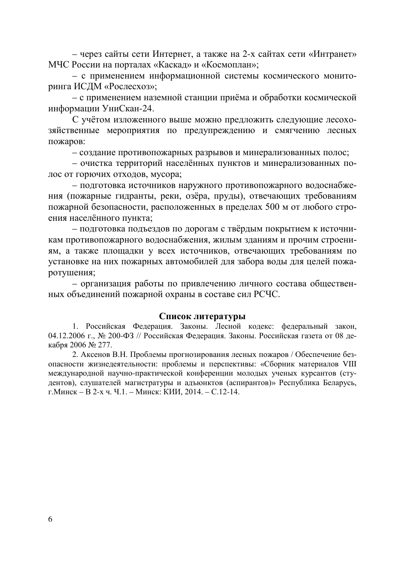– через сайты сети Интернет, а также на 2-х сайтах сети «Интранет» МЧС России на порталах «Каскад» и «Космоплан»;

- с применением информационной системы космического мониторинга ИСДМ «Рослесхоз»;

– с применением наземной станции приёма и обработки космической информации УниСкан-24.

С учётом изложенного выше можно предложить следующие лесохозяйственные мероприятия по предупреждению и смягчению лесных пожаров:

- создание противопожарных разрывов и минерализованных полос;

- очистка территорий населённых пунктов и минерализованных полос от горючих отходов, мусора;

- подготовка источников наружного противопожарного водоснабжения (пожарные гидранты, реки, озёра, пруды), отвечающих требованиям пожарной безопасности, расположенных в пределах 500 м от любого строения населённого пункта;

- подготовка подъездов по дорогам с твёрдым покрытием к источникам противопожарного водоснабжения, жилым зданиям и прочим строениям, а также площадки у всех источников, отвечающих требованиям по установке на них пожарных автомобилей для забора воды для целей пожаротушения;

- организация работы по привлечению личного состава общественных объединений пожарной охраны в составе сил РСЧС.

#### Список литературы

1. Российская Федерация. Законы. Лесной кодекс: федеральный закон, 04.12.2006 г., № 200-ФЗ // Российская Федерация. Законы. Российская газета от 08 декабря 2006 № 277.

2. Аксенов В.Н. Проблемы прогнозирования лесных пожаров / Обеспечение безопасности жизнелеятельности: проблемы и перспективы: «Сборник материалов VIII международной научно-практической конференции молодых ученых курсантов (студентов), слушателей магистратуры и адъюнктов (аспирантов)» Республика Беларусь, г. Минск – В 2-х ч. Ч.1. – Минск: КИИ, 2014. – С.12-14.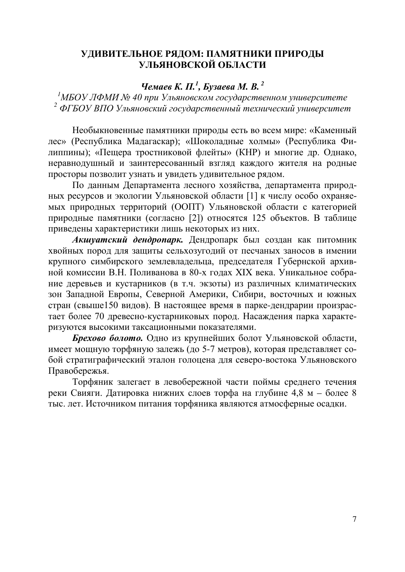## УДИВИТЕЛЬНОЕ РЯДОМ: ПАМЯТНИКИ ПРИРОДЫ УЛЬЯНОВСКОЙ ОБЛАСТИ

## **Чемаев К. П.<sup>1</sup>, Бузаева М. В.**<sup>2</sup>

<sup>1</sup>МБОУ ЛФМИ № 40 при Ульяновском государственном университете <sup>2</sup> ФГБОУ ВПО Ульяновский государственный технический университет

Необыкновенные памятники природы есть во всем мире: «Каменный лес» (Республика Мадагаскар); «Шоколадные холмы» (Республика Филиппины); «Пещера тростниковой флейты» (КНР) и многие др. Однако, неравнодушный и заинтересованный взгляд каждого жителя на родные просторы позволит узнать и увидеть удивительное рядом.

По данным Департамента лесного хозяйства, департамента природных ресурсов и экологии Ульяновской области [1] к числу особо охраняемых природных территорий (ООПТ) Ульяновской области с категорией природные памятники (согласно [2]) относятся 125 объектов. В таблице приведены характеристики лишь некоторых из них.

Акшуатский дендропарк. Дендропарк был создан как питомник хвойных пород для защиты сельхозугодий от песчаных заносов в имении крупного симбирского землевладельца, председателя Губернской архивной комиссии В.Н. Поливанова в 80-х годах XIX века. Уникальное собрание деревьев и кустарников (в т.ч. экзоты) из различных климатических зон Западной Европы, Северной Америки, Сибири, восточных и южных стран (свыше150 видов). В настоящее время в парке-дендрарии произрастает более 70 древесно-кустарниковых пород. Насаждения парка характеризуются высокими таксационными показателями.

**Брехово болото.** Одно из крупнейших болот Ульяновской области, имеет мощную торфяную залежь (до 5-7 метров), которая представляет собой стратиграфический эталон голоцена для северо-востока Ульяновского Правобережья.

Торфяник залегает в левобережной части поймы среднего течения реки Свияги. Датировка нижних слоев торфа на глубине 4,8 м – более 8 тыс. лет. Источником питания торфяника являются атмосферные осадки.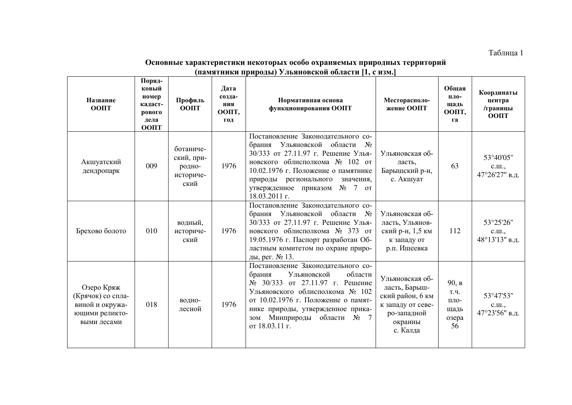Таблица 1

#### Основные характеристики некоторых особо охраняемых природных территорий <u>(памятники природы) Ульяновской области [1, с изм.]</u>

| Название<br><b>OONT</b>                                                             | Поряд-<br>ковый<br>номер<br>кадаст-<br>рового<br>дела<br>ООПТ | Профиль<br><b>OOIIT</b>                                | Дата<br>созда-<br>ния<br>ООПТ,<br>ГОД | Нормативная основа<br>функционирования ООПТ                                                                                                                                                                                                                                                | Месторасполо-<br>жение ООПТ                                                                                     | Обшая<br>пло-<br>щадь<br>ООПТ,<br>га         | Координаты<br>центра<br>/границы<br><b>OOIIT</b> |
|-------------------------------------------------------------------------------------|---------------------------------------------------------------|--------------------------------------------------------|---------------------------------------|--------------------------------------------------------------------------------------------------------------------------------------------------------------------------------------------------------------------------------------------------------------------------------------------|-----------------------------------------------------------------------------------------------------------------|----------------------------------------------|--------------------------------------------------|
| Акшуатский<br>дендропарк                                                            | 009                                                           | ботаниче-<br>ский, при-<br>родно-<br>историче-<br>ский | 1976                                  | Постановление Законодательного со-<br>брания Ульяновской области<br>$N_2$<br>30/333 от 27.11.97 г. Решение Улья-<br>новского облисполкома № 102 от<br>10.02.1976 г. Положение о памятнике<br>регионального<br>значения,<br>природы<br>$N_2$ 7 or<br>утвержденное приказом<br>18.03.2011 г. | Ульяновская об-<br>ласть,<br>Барышский р-н,<br>с. Акшуат                                                        | 63                                           | 53°40'05"<br>C.III.,<br>47°26'27" в.д.           |
| Брехово болото                                                                      | 010                                                           | водный,<br>историче-<br>ский                           | 1976                                  | Постановление Законодательного со-<br>брания Ульяновской области<br>$N_2$<br>30/333 от 27.11.97 г. Решение Улья-<br>новского облисполкома № 373 от<br>19.05.1976 г. Паспорт разработан Об-<br>ластным комитетом по охране приро-<br>ды, рег. № 13.                                         | Ульяновская об-<br>ласть, Ульянов-<br>ский р-н, 1,5 км<br>к западу от<br>р.п. Ишеевка                           | 112                                          | 53°25'26"<br>C.III.,<br>48°13'13" в.д.           |
| Озеро Кряж<br>(Крячок) со спла-<br>виной и окружа-<br>ющими реликто-<br>выми лесами | 018                                                           | водно-<br>лесной                                       | 1976                                  | Постановление Законодательного со-<br>Ульяновской<br>области<br>брания<br>№ 30/333 от 27.11.97 г. Решение<br>Ульяновского облисполкома № 102<br>от 10.02.1976 г. Положение о памят-<br>нике природы, утвержденное прика-<br>зом Минприроды области<br>7<br>$N_2$<br>от 18.03.11 г.         | Ульяновская об-<br>ласть, Барыш-<br>ский район, 6 км<br>к западу от севе-<br>ро-западной<br>окраины<br>с. Калда | 90, в<br>Т.Ч.<br>ПЛО-<br>щадь<br>озера<br>56 | 53°47'53"<br>C.III.,<br>47°23'56" в.д.           |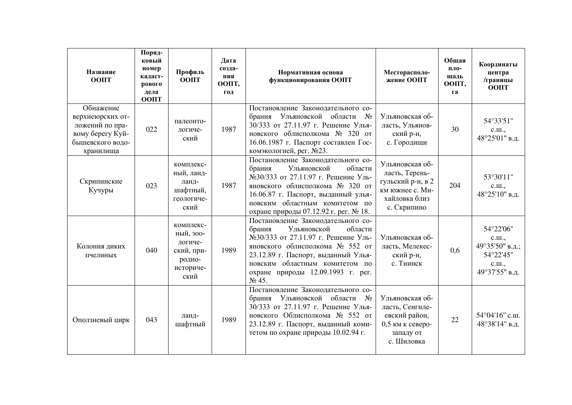| Название<br>ООПТ                                                                                      | Поряд-<br>ковый<br>номер<br>кадаст-<br>рового<br>дела<br><b>OOIIT</b> | Профиль<br>ООПТ                                                                | Дата<br>созда-<br>ния<br>ООПТ,<br>год | Нормативная основа<br>функционирования ООПТ                                                                                                                                                                                                                              | Месторасполо-<br>жение ООПТ                                                                               | Обшая<br>пло-<br>щадь<br>ООПТ,<br>га | Координаты<br>центра<br>/границы<br><b>OOIIT</b>                              |
|-------------------------------------------------------------------------------------------------------|-----------------------------------------------------------------------|--------------------------------------------------------------------------------|---------------------------------------|--------------------------------------------------------------------------------------------------------------------------------------------------------------------------------------------------------------------------------------------------------------------------|-----------------------------------------------------------------------------------------------------------|--------------------------------------|-------------------------------------------------------------------------------|
| Обнажение<br>верхнеюрских от-<br>ложений по пра-<br>вому берегу Куй-<br>бышевского водо-<br>хранилища | 022                                                                   | палеонто-<br>логиче-<br>ский                                                   | 1987                                  | Постановление Законодательного со-<br>брания Ульяновской области<br>$N_2$<br>30/333 от 27.11.97 г. Решение Улья-<br>новского облисполкома № 320 от<br>16.06.1987 г. Паспорт составлен Гос-<br>комэкологией, рег. №23.                                                    | Ульяновская об-<br>ласть, Ульянов-<br>ский р-н,<br>с. Городищи                                            | 30                                   | 54°33'51"<br>C.III.,<br>48°25'01" в.д.                                        |
| Скрипинские<br>Кучуры                                                                                 | 023                                                                   | комплекс-<br>ный, ланд-<br>ланд-<br>шафтный,<br>геологиче-<br>ский             | 1987                                  | Постановление Законодательного со-<br>Ульяновской<br>области<br>брания<br>№30/333 от 27.11.97 г. Решение Уль-<br>яновского облисполкома № 320 от<br>16.06.87 г. Паспорт, выданный улья-<br>новским областным комитетом по<br>охране природы 07.12.92 г. рег. № 18.       | Ульяновская об-<br>ласть, Терень-<br>гульский р-н, в 2<br>км южнее с. Ми-<br>хайловка близ<br>с. Скрипино | 204                                  | 53°30'11"<br>c.m.,<br>48°25'10" в.д.                                          |
| Колония диких<br>пчелиных                                                                             | 040                                                                   | комплекс-<br>ный, зоо-<br>логиче-<br>ский, при-<br>родно-<br>историче-<br>ский | 1989                                  | Постановление Законодательного со-<br>Ульяновской<br>области<br>брания<br>№30/333 от 27.11.97 г. Решение Уль-<br>яновского облисполкома № 552 от<br>23.12.89 г. Паспорт, выданный Улья-<br>новским областным комитетом по<br>охране природы 12.09.1993 г. рег.<br>No 45. | Ульяновская об-<br>ласть, Мелекес-<br>ский р-н,<br>с. Тиинск                                              | 0.6                                  | 54°22'06"<br>c.m.,<br>49°35'50" в.д.;<br>54°22'45"<br>c.m.,<br>49°37'55" в.д. |
| Оползневый цирк                                                                                       | 043                                                                   | ланд-<br>шафтный                                                               | 1989                                  | Постановление Законодательного со-<br>Ульяновской области<br>брания<br>$N_2$<br>30/333 от 27.11.97 г. Решение Улья-<br>новского Облисполкома № 552 от<br>23.12.89 г. Паспорт, выданный коми-<br>тетом по охране природы 10.02.94 г.                                      | Ульяновская об-<br>ласть, Сенгиле-<br>евский район,<br>0,5 км к северо-<br>западу от<br>с. Шиловка        | 22                                   | 54°04'16" с.ш.<br>48°38'14" в.д.                                              |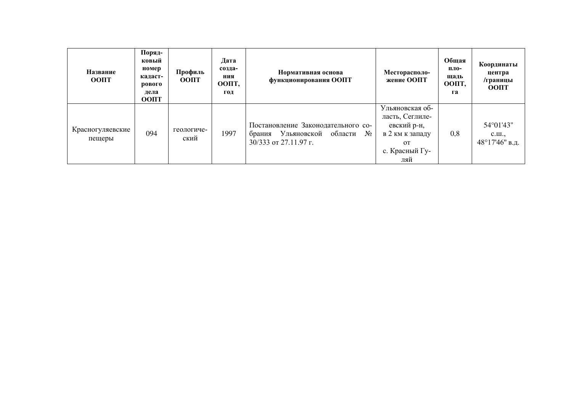| Название<br><b>OOIIT</b>   | Поряд-<br>ковый<br>номер<br>кадаст-<br>рового<br>дела<br><b>OOIIT</b> | Профиль<br><b>OOIIT</b> | Дата<br>созда-<br>ния<br>ООПТ,<br>ГОД | Нормативная основа<br>функционирования ООПТ                                                           | Месторасполо-<br>жение ООПТ                                                                                     | Общая<br>пло-<br>щадь<br>ООПТ,<br>га | Координаты<br>центра<br>/границы<br><b>OOIIT</b>       |
|----------------------------|-----------------------------------------------------------------------|-------------------------|---------------------------------------|-------------------------------------------------------------------------------------------------------|-----------------------------------------------------------------------------------------------------------------|--------------------------------------|--------------------------------------------------------|
| Красногуляевские<br>пещеры | 094                                                                   | геологиче-<br>ский      | 1997                                  | Постановление Законодательного со-<br>Ульяновской области<br>$N_2$<br>брания<br>30/333 от 27.11.97 г. | Ульяновская об-<br>ласть, Сеглиле-<br>евский р-н,<br>в 2 км к западу<br>$\overline{O}$<br>с. Красный Гу-<br>ляй | 0,8                                  | 54°01'43"<br>$C_\cdot \amalg \ldots$<br>48°17'46" в.д. |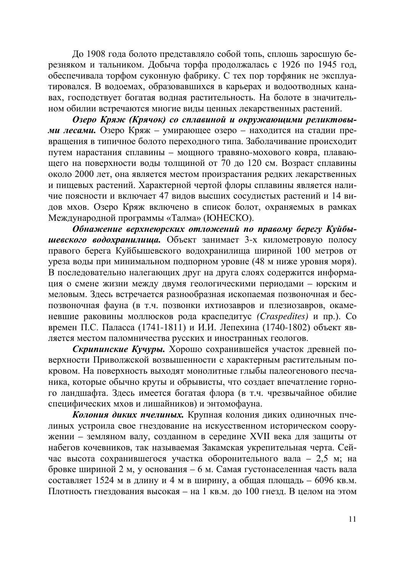До 1908 года болото представляло собой топь, сплошь заросшую березняком и тальником. Добыча торфа продолжалась с 1926 по 1945 год, обеспечивала торфом суконную фабрику. С тех пор торфяник не эксплуатировался. В водоемах, образовавшихся в карьерах и водоотводных канавах, господствует богатая водная растительность. На болоте в значительном обилии встречаются многие виды ценных лекарственных растений.

Озеро Кряж (Крячок) со сплавиной и окружающими реликтовы**ми лесами.** Озеро Кряж – умирающее озеро – находится на стадии превращения в типичное болото переходного типа. Заболачивание происходит путем нарастания сплавины - мощного травяно-мохового ковра, плавающего на поверхности воды толщиной от 70 до 120 см. Возраст сплавины около 2000 лет, она является местом произрастания редких лекарственных и пищевых растений. Характерной чертой флоры сплавины является наличие поясности и включает 47 видов высших сосудистых растений и 14 видов мхов. Озеро Кряж включено в список болот, охраняемых в рамках Международной программы «Талма» (ЮНЕСКО).

Обнажение верхнеюрских отложений по правому берегу Куйбы**шевского водохранилища.** Объект занимает 3-х километровую полосу правого берега Куйбышевского водохранилища шириной 100 метров от уреза воды при минимальном подпорном уровне (48 м ниже уровня моря). В последовательно налегающих друг на друга слоях содержится информация о смене жизни между двумя геологическими периодами - юрским и меловым. Здесь встречается разнообразная ископаемая позвоночная и беспозвоночная фауна (в т.ч. позвонки ихтиозавров и плезиозавров, окаменевшие раковины моллюсков рода краспедитус (Craspedites) и пр.). Со времен П.С. Паласса (1741-1811) и И.И. Лепехина (1740-1802) объект является местом паломничества русских и иностранных геологов.

Скрипинские Кучуры. Хорошо сохранившейся участок древней поверхности Приволжской возвышенности с характерным растительным покровом. На поверхность выходят монолитные глыбы палеогенового песчаника, которые обычно круты и обрывисты, что создает впечатление горного ландшафта. Здесь имеется богатая флора (в т.ч. чрезвычайное обилие специфических мхов и лишайников) и энтомофауна.

Колония диких пчелиных. Крупная колония диких одиночных пчелиных устроила свое гнездование на искусственном историческом сооружении – земляном валу, созданном в середине XVII века для защиты от набегов кочевников, так называемая Закамская укрепительная черта. Сейчас высота сохранившегося участка оборонительного вала – 2,5 м; на бровке шириной 2 м, у основания – 6 м. Самая густонаселенная часть вала составляет 1524 м в длину и 4 м в ширину, а общая площадь – 6096 кв.м. Плотность гнездования высокая – на 1 кв.м. до 100 гнезд. В целом на этом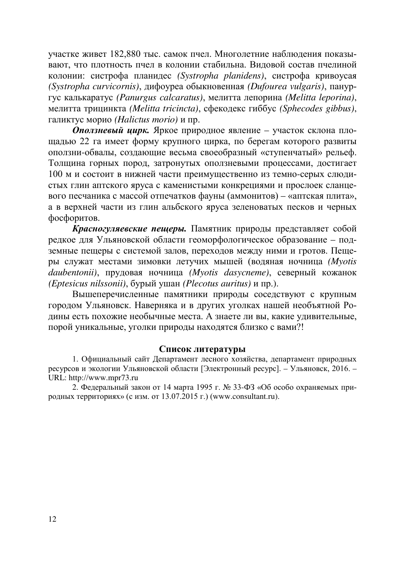участке живет 182,880 тыс. самок пчел. Многолетние наблюдения показывают, что плотность пчел в колонии стабильна. Видовой состав пчелиной колонии: систрофа планидес (Systropha planidens), систрофа кривоусая *(Systropha curvicornis)*, дифоуреа обыкновенная *(Dufourea vulgaris)*, панургус калькаратус *(Panurgus calcaratus)*, мелитта лепорина *(Melitta leporina)*, мелитта трицинкта *(Melitta tricincta)*, сфекодекс гиббус *(Sphecodes gibbus)*, галиктус морио (Halictus morio) и пр.

**Оползневый цирк.** Яркое природное явление – участок склона площадью 22 га имеет форму крупного цирка, по берегам которого развиты оползни-обвалы, создающие весьма своеобразный «ступенчатый» рельеф. Толщина горных пород, затронутых оползневыми процессами, достигает 100 м и состоит в нижней части преимущественно из темно-серых слюдистых глин аптского яруса с каменистыми конкрециями и прослоек сланцевого песчаника с массой отпечатков фауны (аммонитов) – «аптская плита», а в верхней части из глин альбского яруса зеленоватых песков и черных фосфоритов.

Красногуляевские пещеры. Памятник природы представляет собой редкое для Ульяновской области геоморфологическое образование - подземные пещеры с системой залов, переходов между ними и гротов. Пещеры служат местами зимовки летучих мышей (водяная ночница (Myotis *daubentonii*), прудовая ночница *(Myotis dasycneme)*, северный кожанок *(Eptesicus nilssonii)*, бурый ушан *(Plecotus auritus)* и пр.).

Вышеперечисленные памятники природы соседствуют с крупным городом Ульяновск. Наверняка и в других уголках нашей необъятной Родины есть похожие необычные места. А знаете ли вы, какие удивительные, порой уникальные, уголки природы находятся близко с вами?!

#### Список литературы

1. Официальный сайт Департамент лесного хозяйства, департамент природных ресурсов и экологии Ульяновской области [Электронный ресурс]. – Ульяновск, 2016. – URL: http://www.mpr73.ru

2. Федеральный закон от 14 марта 1995 г. № 33-ФЗ «Об особо охраняемых природных территориях» (с изм. от  $13.07.2015$  г.) ([www.consultant.ru\)](http://www.consultant.ru/).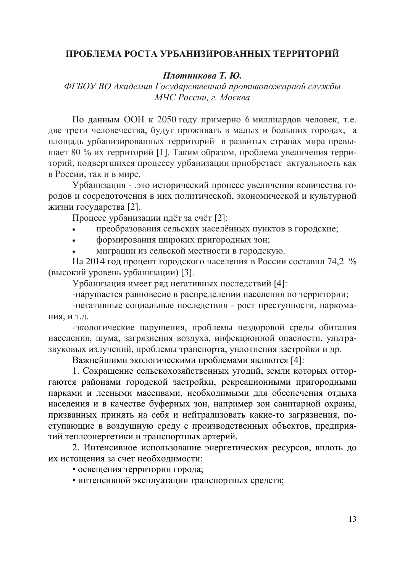## ПРОБЛЕМА РОСТА УРБАНИЗИРОВАННЫХ ТЕРРИТОРИЙ

 $\Pi$ лотникова Т. Ю.

ФГБОУ ВО Академия Государственной противопожарной службы *МЧС России, г. Москва* 

По данным ООН к 2050 году примерно 6 миллиардов человек, т.е. две трети человечества, будут проживать в малых и больших городах, а площадь урбанизированных территорий в развитых странах мира превышает 80 % их территорий [1]. Таким образом, проблема увеличения территорий, подвергшихся процессу урбанизации приобретает актуальность как в России, так и в мире.

Урбанизация - .это исторический процесс увеличения количества городов и сосредоточения в них политической, экономической и культурной жизни государства [2].

Процесс урбанизации идёт за счёт [2]:

- преобразования сельских населённых пунктов в городские;
- формирования широких пригородных зон;
- миграции из сельской местности в городскую.

На 2014 год процент городского населения в России составил 74,2 % (высокий уровень урбанизации) [3].

Урбанизация имеет ряд негативных последствий [4]:

-нарушается равновесие в распределении населения по территории;

-негативные социальные последствия - рост преступности, наркома-НИЯ, И Т.Д.

-экологические нарушения, проблемы нездоровой среды обитания населения, шума, загрязнения воздуха, инфекционной опасности, ультразвуковых излучений, проблемы транспорта, уплотнения застройки и др.

Важнейшими экологическими проблемами являются [4]:

1. Сокращение сельскохозяйственных угодий, земли которых отторгаются районами городской застройки, рекреационными пригородными парками и лесными массивами, необходимыми для обеспечения отдыха населения и в качестве буферных зон, например зон санитарной охраны, призванных принять на себя и нейтрализовать какие-то загрязнения, поступающие в воздушную среду с производственных объектов, предприятий теплоэнергетики и транспортных артерий.

2. Интенсивное использование энергетических ресурсов, вплоть до их истощения за счет необходимости:

- освещения территории города;
- интенсивной эксплуатации транспортных средств;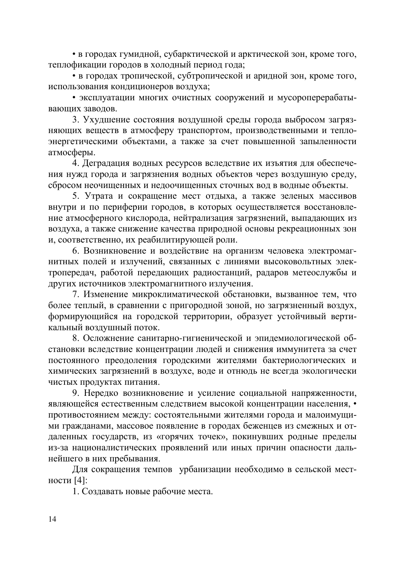• в городах гумидной, субарктической и арктической зон, кроме того, теплофикации городов в холодный период года;

• в городах тропической, субтропической и аридной зон, кроме того, использования кондиционеров воздуха;

• эксплуатации многих очистных сооружений и мусороперерабатывающих заводов.

3. Ухудшение состояния воздушной среды города выбросом загрязняющих веществ в атмосферу транспортом, производственными и теплоэнергетическими объектами, а также за счет повышенной запыленности атмосферы.

4. Деградация водных ресурсов вследствие их изъятия для обеспечения нужд города и загрязнения водных объектов через воздушную среду, сбросом неочищенных и недоочищенных сточных вод в водные объекты.

5. Утрата и сокращение мест отдыха, а также зеленых массивов внутри и по периферии городов, в которых осуществляется восстановление атмосферного кислорода, нейтрализация загрязнений, выпадающих из воздуха, а также снижение качества природной основы рекреационных зон и, соответственно, их реабилитирующей роли.

6. Возникновение и воздействие на организм человека электромагнитных полей и излучений, связанных с линиями высоковольтных электропередач, работой передающих радиостанций, радаров метеослужбы и других источников электромагнитного излучения.

7. Изменение микроклиматической обстановки, вызванное тем, что более теплый, в сравнении с пригородной зоной, но загрязненный воздух, формирующийся на городской территории, образует устойчивый вертикальный воздушный поток.

8. Осложнение санитарно-гигиенической и эпидемиологической обстановки вследствие концентрации людей и снижения иммунитета за счет постоянного преодоления городскими жителями бактериологических и химических загрязнений в воздухе, воде и отнюдь не всегда экологически чистых продуктах питания.

9. Нередко возникновение и усиление социальной напряженности, являющейся естественным следствием высокой концентрации населения, • противостоянием между: состоятельными жителями города и малоимущими гражданами, массовое появление в городах беженцев из смежных и отдаленных государств, из «горячих точек», покинувших родные пределы из-за националистических проявлений или иных причин опасности дальнейшего в них пребывания.

Для сокращения темпов урбанизации необходимо в сельской местности [4]:

1. Создавать новые рабочие места.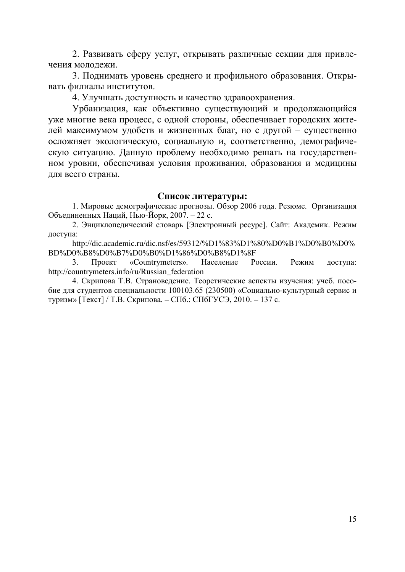2. Развивать сферу услуг, открывать различные секции для привлечения молодежи.

3. Поднимать уровень среднего и профильного образования. Открывать филиалы институтов.

4. Улучшать доступность и качество здравоохранения.

Урбанизация, как объективно существующий и продолжающийся уже многие века процесс, с одной стороны, обеспечивает городских житедей максимумом удобств и жизненных благ, но с другой – существенно осложняет экологическую, социальную и, соответственно, демографическую ситуацию. Данную проблему необходимо решать на государственном уровни, обеспечивая условия проживания, образования и медицины для всего страны.

#### Список литературы:

1. Мировые демографические прогнозы. Обзор 2006 года. Резюме. Организация Объединенных Наций, Нью-Йорк, 2007. – 22 с.

2. Энциклопедический словарь [Электронный ресурс]. Сайт: Академик. Режим доступа:

http://dic.academic.ru/dic.nsf/es/59312/%D1%83%D1%80%D0%B1%D0%B0%D0% BD%D0%B8%D0%B7%D0%B0%D1%86%D0%B8%D1%8F

3. Проект «Countrymeters». Население России. Режим доступа: http://countrymeters.info/ru/Russian\_federation

4. Скрипова Т.В. Страноведение. Теоретические аспекты изучения: учеб. пособие для студентов специальности 100103.65 (230500) «Социально-культурный сервис и туризм» [Текст] / Т.В. Скрипова. – СПб.: СПбГУСЭ, 2010. – 137 с.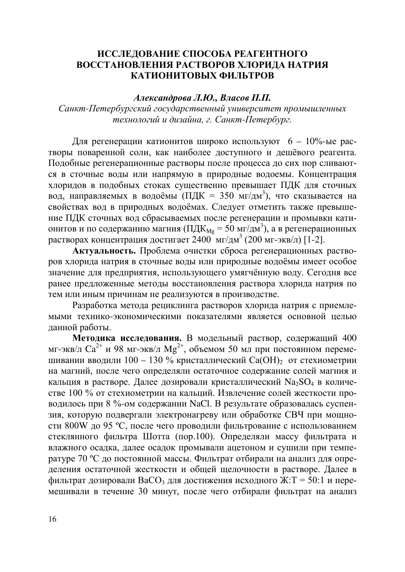## ИССЛЕДОВАНИЕ СПОСОБА РЕАГЕНТНОГО ВОССТАНОВЛЕНИЯ РАСТВОРОВ ХЛОРИЛА НАТРИЯ КАТИОНИТОВЫХ ФИЛЬТРОВ

#### $A$ лександрова Л.Ю., Власов П.П.

Санкт-Петербургский государственный университет промышленных  $m$ ехнологий и дизайна, г. Санкт-Петербург.

Для регенерации катионитов широко используют  $6 - 10\%$ -ые растворы поваренной соли, как наиболее доступного и дешёвого реагента. Подобные регенерационные растворы после процесса до сих пор сливаются в сточные воды или напрямую в природные водоемы. Концентрация хлоридов в подобных стоках существенно превышает ПДК для сточных вод, направляемых в водоёмы (ПДК = 350 мг/дм<sup>3</sup>), что сказывается на свойствах вод в природных водоёмах. Следует отметить также превышение ПДК сточных вод сбрасываемых после регенерации и промывки катионитов и по содержанию магния (ПД $K_{Mg} = 50$  мг/дм<sup>3</sup>), а в регенерационных растворах концентрация достигает 2400 мг/дм<sup>3</sup> (200 мг-экв/л) [1-2].

Актуальность. Проблема очистки сброса регенерационных растворов хлорида натрия в сточные воды или природные водоёмы имеет особое значение для предприятия, использующего умягчённую воду. Сегодня все ранее предложенные методы восстановления раствора хлорида натрия по тем или иным причинам не реализуются в производстве.

Разработка метода рециклинга растворов хлорида натрия с приемлемыми технико-экономическими показателями является основной целью данной работы.

**Методика исследования.** В модельный раствор, содержащий 400  $\mu$ г-экв/л Са<sup>2+</sup> и 98 мг-экв/л Мg<sup>2+</sup>, объемом 50 мл при постоянном перемешивании вводили 100 – 130 % кристаллический Ca(OH), от стехиометрии на магний, после чего определяли остаточное содержание солей магния и кальция в растворе. Далее дозировали кристаллический  $Na_2SO_4$  в количестве 100 % от стехиометрии на кальций. Извлечение солей жесткости проводилось при 8 %-ом содержании NaCl. В результате образовалась суспензия, которую подвергали электронагреву или обработке СВЧ при мощности 800W до 95 °С, после чего проводили фильтрование с использованием стеклянного фильтра Шотта (пор.100). Определяли массу фильтрата и влажного осадка, далее осадок промывали ацетоном и сушили при температуре 70 °С до постоянной массы. Фильтрат отбирали на анализ для определения остаточной жесткости и общей щелочности в растворе. Далее в  $\phi$ ильтрат дозировали ВаСОз для достижения исходного Ж:Т = 50:1 и перемешивали в течение 30 минут, после чего отбирали фильтрат на анализ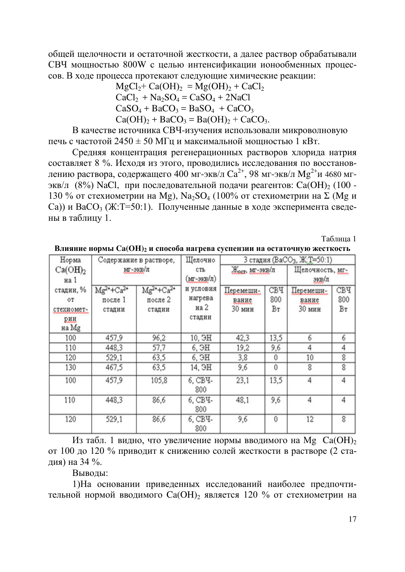общей щелочности и остаточной жесткости, а далее раствор обрабатывали СВЧ мощностью 800W с целью интенсификации ионообменных процессов. В ходе процесса протекают следующие химические реакции:

> $MgCl<sub>2</sub> + Ca(OH)<sub>2</sub> = Mg(OH)<sub>2</sub> + CaCl<sub>2</sub>$  $CaCl<sub>2</sub> + Na<sub>2</sub>SO<sub>4</sub> = CaSO<sub>4</sub> + 2NaCl$  $CaSO_4 + BaCO_3 = BaSO_4 + CaCO_3$  $Ca(OH)_{2} + BaCO_{3} = Ba(OH)_{2} + CaCO_{3}$ .

В качестве источника СВЧ-изучения использовали микроволновую печь с частотой  $2450 \pm 50$  МГц и максимальной мощностью 1 кВт.

Средняя концентрация регенерационных растворов хлорида натрия составляет 8 %. Исходя из этого, проводились исследования по восстановлению раствора, содержащего 400 мг-экв/л Са $^{2+}$ , 98 мг-экв/л М $\mathrm{g}^{2+}$ и 4680 мгэкв/л (8%) NaCl, при последовательной подачи реагентов: Ca(OH)<sub>2</sub> (100 -130 % от стехиометрии на Mg), Na<sub>2</sub>SO<sub>4</sub> (100% от стехиометрии на  $\Sigma$  (Mg и Са)) и ВаСО<sub>3</sub> (Ж:Т=50:1). Полученные данные в ходе эксперимента сведены в таблицу 1.

Таблина 1

| Норма                                         |                                          | Содержание в растворе,                 | Щелочно                                | 3 стадия (BaCO <sub>3</sub> , Ж:T=50:1) |                         |                              |                  |  |
|-----------------------------------------------|------------------------------------------|----------------------------------------|----------------------------------------|-----------------------------------------|-------------------------|------------------------------|------------------|--|
| Ca(OH) <sub>2</sub><br>на 1                   | мг-экв/л                                 |                                        | CTЪ<br>(мг-экв/л)                      | Жост, МГ-ЭКВ/Л                          |                         | Щелочность, мг.<br>зкв/л     |                  |  |
| стадии, %<br>ОT<br>стехиомет-<br>рии<br>на Mg | $Mg^{2+} + Ca^{2+}$<br>после 1<br>стадии | $Mg^{2+}+Ca^{2+}$<br>после 2<br>стадии | и условия<br>нагрева<br>на 2<br>стадии | Перемеши-<br>вание<br>30 мин            | <b>СВЧ</b><br>800<br>Βт | Перемеши-<br>вание<br>30 мин | СВЧ<br>800<br>Br |  |
| 100                                           | 457,9                                    | 96,2                                   | 10. <b>H</b>                           | 42,3                                    | 13,5                    | 6                            | 6                |  |
| 110                                           | 448,3                                    | 57,7                                   | 6. <b>H</b>                            | 19,2                                    | 9,6                     | 4                            | 4                |  |
| 120                                           | 529,1                                    | 63,5                                   | 6. <b>OH</b>                           | 3,8                                     | 0                       | 10                           | 8                |  |
| 130                                           | 467,5                                    | 63,5                                   | 14. <b>H</b>                           | 9,6                                     | 0                       | 8                            | 8                |  |
| 100                                           | 457.9                                    | 105,8                                  | 6. CBY-<br>800                         | 23.1                                    | 13,5                    | $\overline{4}$               | 4                |  |
| 110                                           | 448,3                                    | 86,6                                   | 6. CBY-<br>800                         | 48,1                                    | 9,6                     | 4                            | 4                |  |
| 120                                           | 529,1                                    | 86,6                                   | 6, CBY-<br>800                         | 9,6                                     | 0                       | 12                           | 8                |  |

Влияние нормы Са(ОН)<sub>2</sub> и способа нагрева суспензии на остаточную жесткость

Из табл. 1 видно, что увеличение нормы вводимого на Mg Ca(OH)<sub>2</sub> от 100 до 120 % приводит к снижению солей жесткости в растворе (2 стадия) на 34 %.

Выволы:

1) На основании приведенных исследований наиболее предпочтительной нормой вводимого  $Ca(OH)$  является 120 % от стехиометрии на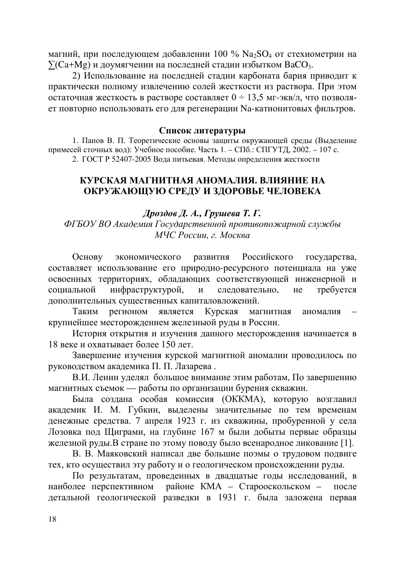магний, при последующем добавлении 100 % Na<sub>2</sub>SO<sub>4</sub> от стехиометрии на  $\sum (Ca+Mg)$  и доумягчении на последней стадии избытком ВаСО<sub>3</sub>.

2) Использование на последней стадии карбоната бария приводит к практически полному извлечению солей жесткости из раствора. При этом остаточная жесткость в растворе составляет  $0 \div 13.5$  мг-экв/л, что позволяет повторно использовать его для регенерации Na-катионитовых фильтров.

#### Список литературы

1. Панов В. П. Теоретические основы защиты окружающей среды (Выделение примесей сточных вод): Учебное пособие. Часть 1. – СПб.: СПГУТД, 2002. – 107 с. 2. ГОСТ Р 52407-2005 Вода питьевая. Методы определения жесткости

## КУРСКАЯ МАГНИТНАЯ АНОМАЛИЯ. ВЛИЯНИЕ НА ОКРУЖАЮЩУЮ СРЕДУ И ЗДОРОВЬЕ ЧЕЛОВЕКА

## $\Lambda$ *poздов*  $\Lambda$ *. А., Грушева Т. Г.*

ФГБОУ ВО Академия Государственной противопожарной службы *МЧС России, г. Москва* 

Основу экономического развития Российского государства, составляет использование его природно-ресурсного потенциала на уже освоенных территориях, обладающих соответствующей инженерной и социальной инфраструктурой, и следовательно, не требуется дополнительных существенных капиталовложений.

Таким регионом является Курская магнитная аномалия крупнейшее месторождением железньюй руды в России.

История открытия и изучения данного месторождения начинается в 18 веке и охватывает более 150 лет.

Завершение изучения курской магнитной аномалии проводилось по руководством академика П. П. Лазарева.

В.И. Ленин уделял большое внимание этим работам, По завершению магнитных съемок — работы по организации бурения скважин.

Была создана особая комиссия (ОККМА), которую возглавил академик И. М. Губкин, выделены значительные по тем временам денежные средства. 7 апреля 1923 г. из скважины, пробуренной у села Лозовка под Щиграми, на глубине 167 м были добыты первые образцы железной руды.В стране по этому поводу было всенародное ликование [1].

В. В. Маяковский написал две большие поэмы о трудовом подвиге тех, кто осуществил эту работу и о геологическом происхождении руды.

По результатам, проведенных в двадцатые годы исследований, в наиболее перспективном районе КМА - Старооскольском - после детальной геологической разведки в 1931 г. была заложена первая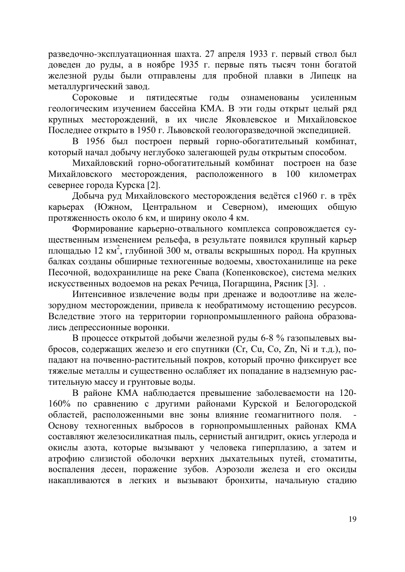разведочно-эксплуатационная шахта. 27 апреля 1933 г. первый ствол был  $\overline{A}$ оведен до руды, а в ноябре 1935 г. первые пять тысяч тонн богатой железной руды были отправлены для пробной плавки в Липецк на металлургический завод.

Сороковые и пятидесятые годы ознаменованы усиленным геологическим изучением бассейна КМА. В эти годы открыт целый ряд крупных месторождений, в их числе Яковлевское и Михайловское Последнее открыто в 1950 г. Львовской геологоразведочной экспедицией.

В 1956 был построен первый горно-обогатительный комбинат, который начал добычу неглубоко залегающей руды открытым способом.

Михайловский горно-обогатительный комбинат построен на базе Михайловского месторождения, расположенного в 100 километрах севернее города Курска [2].

Добыча руд Михайловского месторождения ведётся с1960 г. в трёх карьерах (Южном, Центральном и Северном), имеющих общую протяженность около 6 км, и ширину около 4 км.

Формирование карьерно-отвального комплекса сопровождается существенным изменением рельефа, в результате появился крупный карьер площадью 12 км<sup>2</sup>, глубиной 300 м, отвалы вскрышных пород. На крупных балках созданы обширные техногенные водоемы, хвостоханилище на реке Песочной, водохранилище на реке Свапа (Копенковское), система мелких искусственных водоемов на реках Речица, Погарщина, Рясник [3]...

Интенсивное извлечение воды при дренаже и водоотливе на железорудном месторождении, привела к необратимому истощению ресурсов. Вследствие этого на территории горнопромышленного района образовались депрессионные воронки.

В процессе открытой добычи железной руды 6-8 % газопылевых выбросов, содержащих железо и его спутники (Cr, Cu, Co, Zn, Ni и т.д.), попадают на почвенно-растительный покров, который прочно фиксирует все тяжелые металлы и существенно ослабляет их попадание в надземную растительную массу и грунтовые воды.

В районе КМА наблюдается превышение заболеваемости на 120-160% по сравнению с другими районами Курской и Белогородской областей, расположенными вне зоны влияние геомагнитного поля. Основу техногенных выбросов в горнопромышленных районах КМА составляют железосиликатная пыль, сернистый ангидрит, окись углерода и окислы азота, которые вызывают у человека гиперплазию, а затем и атрофию слизистой оболочки верхних дыхательных путей, стоматиты, воспаления десен, поражение зубов. Аэрозоли железа и его оксиды накапливаются в легких и вызывают бронхиты, начальную стадию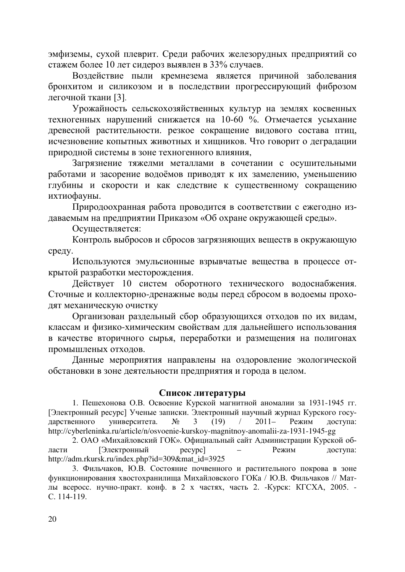эмфиземы, сухой плеврит. Среди рабочих железорудных предприятий со стажем более 10 лет сидероз выявлен в 33% случаев.

Воздействие пыли кремнезема является причиной заболевания бронхитом и силикозом и в последствии прогрессирующий фиброзом легочной ткани [3].

Урожайность сельскохозяйственных культур на землях косвенных техногенных нарушений снижается на 10-60 %. Отмечается усыхание древесной растительности. резкое сокращение видового состава птиц, исчезновение копытных животных и хищников. Что говорит о деградации природной системы в зоне техногенного влияния,

Загрязнение тяжелми металлами в сочетании с осушительными работами и засорение водоёмов приводят к их замелению, уменьшению глубины и скорости и как следствие к существенному сокращению ихтиофауны.

Природоохранная работа проводится в соответствии с ежегодно издаваемым на предприятии Приказом «Об охране окружающей среды».

Осуществляется:

Контроль выбросов и сбросов загрязняющих веществ в окружающую среду.

Используются эмульсионные взрывчатые вещества в процессе открытой разработки месторождения.

Действует 10 систем оборотного технического водоснабжения. Сточные и коллекторно-дренажные воды перед сбросом в водоемы проходят механическую очистку

Организован раздельный сбор образующихся отходов по их видам, классам и физико-химическим свойствам для дальнейшего использования в качестве вторичного сырья, переработки и размещения на полигонах промышленых отходов.

Данные мероприятия направлены на оздоровление экологической обстановки в зоне деятельности предприятия и города в целом.

#### Список литературы

1. Пешехонова О.В. Освоение Курской магнитной аномалии за 1931-1945 гг. [Электронный ресурс] Ученые записки. Электронный научный журнал Курского государственного университета.  $\mathcal{N}_2$  3 (19) / 2011– Режим доступа: http://cyberleninka.ru/article/n/osvoenie-kurskoy-magnitnoy-anomalii-za-1931-1945-gg

2. ОАО «Михайловский ГОК». Официальный сайт Администрации Курской области [Электронный ресурс] – Режим доступа: http://adm.rkursk.ru/index.php?id=309&mat\_id=3925

3. Фильчаков, Ю.В. Состояние почвенного и растительного покрова в зоне функционирования хвостохранилища Михайловского ГОКа / Ю.В. Фильчаков // Матлы всеросс. нучно-практ. конф. в 2 х частях, часть 2. -Курск: КГСХА, 2005. -C. 114-119.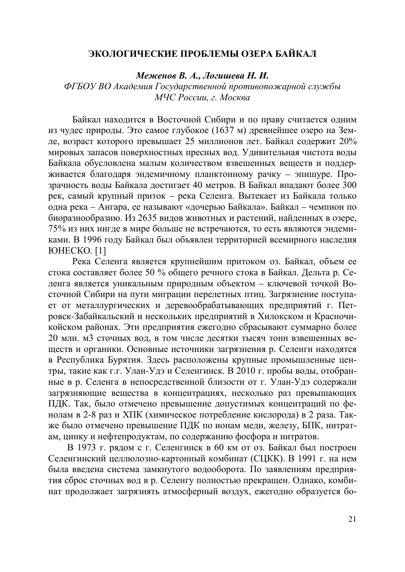#### ЭКОЛОГИЧЕСКИЕ ПРОБЛЕМЫ ОЗЕРА БАЙКАЛ

 $Me$ женов В. А., Логишева Н. И.

ФГБОУ ВО Академия Государственной противопожарной службы  $M$ ЧС России, г. Москва

Байкал находится в Восточной Сибири и по праву считается одним из чудес природы. Это самое глубокое (1637 м) древнейшее озеро на Земле, возраст которого превышает 25 миллионов лет. Байкал содержит 20% мировых запасов поверхностных пресных вод. Удивительная чистота воды Байкала обусловлена малым количеством взвешенных веществ и поддерживается благодаря эндемичному планктонному рачку – эпишуре. Прозрачность воды Байкала достигает 40 метров. В Байкал впадают более 300 рек, самый крупный приток – река Селенга. Вытекает из Байкала только одна река – Ангара, ее называют «дочерью Байкала». Байкал – чемпион по биоразнообразию. Из 2635 видов животных и растений, найденных в озере, 75% из них нигде в мире больше не встречаются, то есть являются эндемиками. В 1996 году Байкал был объявлен территорией всемирного наследия ЮНЕСКО. [1]

Река Селенга является крупнейшим притоком оз. Байкал, объем ее стока составляет более 50 % общего речного стока в Байкал. Дельта р. Селенга является уникальным природным объектом – ключевой точкой Восточной Сибири на пути миграции перелетных птиц. Загрязнение поступает от металлургических и деревообрабатывающих предприятий г. Петровск-Забайкальский и нескольких предприятий в Хилокском и Красночикойском районах. Эти предприятия ежегодно сбрасывают суммарно более 20 млн. м3 сточных вод, в том числе десятки тысяч тонн взвешенных веществ и органики. Основные источники загрязнения р. Селенги находятся в Республика Бурятия. Здесь расположены крупные промышленные центры, такие как г.г. Улан-Удэ и Селенгинск. В 2010 г. пробы воды, отобранные в р. Селенга в непосредственной близости от г. Улан-Удэ содержали загрязняющие вещества в концентрациях, несколько раз превышающих ПДК. Так, было отмечено превышение допустимых концентраций по фенолам в 2-8 раз и XПК (химическое потребление кислорода) в 2 раза. Также было отмечено превышение ПДК по ионам меди, железу, БПК, нитратам, цинку и нефтепродуктам, по содержанию фосфора и нитратов.

В 1973 г. рядом с г. Селенгинск в 60 км от оз. Байкал был построен Селенгинский целлюлозно-картонный комбинат (СЦКК). В 1991 г. на нем была введена система замкнутого водооборота. По заявлениям предприятия сброс сточных вод в р. Селенгу полностью прекращен. Однако, комбинат продолжает загрязнять атмосферный воздух, ежегодно образуется бо-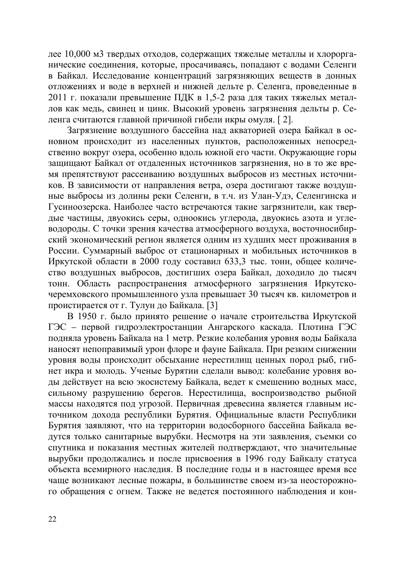лее 10,000 м3 твердых отходов, содержащих тяжелые металлы и хлорорганические соединения, которые, просачиваясь, попадают с водами Селенги в Байкал. Исследование концентраций загрязняющих веществ в донных отложениях и воде в верхней и нижней дельте р. Селенга, проведенные в 2011 г. показали превышение ПДК в 1,5-2 раза для таких тяжелых металлов как медь, свинец и цинк. Высокий уровень загрязнения дельты р. Селенга считаются главной причиной гибели икры омуля. [2].

Загрязнение воздушного бассейна над акваторией озера Байкал в основном происходит из населенных пунктов, расположенных непосредственно вокруг озера, особенно вдоль южной его части. Окружающие горы защищают Байкал от отдаленных источников загрязнения, но в то же время препятствуют рассеиванию воздушных выбросов из местных источников. В зависимости от направления ветра, озера достигают также воздушные выбросы из долины реки Селенги, в т.ч. из Улан-Удэ, Селенгинска и Гусиноозерска. Наиболее часто встречаются такие загрязнители, как твердые частицы, двуокись серы, одноокись углерода, двуокись азота и углеводороды. С точки зрения качества атмосферного воздуха, восточносибирский экономический регион является одним из худших мест проживания в России. Суммарный выброс от стационарных и мобильных источников в Иркутской области в 2000 году составил 633,3 тыс. тонн, общее количество воздушных выбросов, достигших озера Байкал, доходило до тысяч тонн. Область распространения атмосферного загрязнения Иркутскочеремховского промышленного узла превышает 30 тысяч кв. километров и проистирается от г. Тулун до Байкала. [3]

В 1950 г. было принято решение о начале строительства Иркутской ГЭС – первой гидроэлектростанции Ангарского каскада. Плотина ГЭС подняла уровень Байкала на 1 метр. Резкие колебания уровня воды Байкала наносят непоправимый урон флоре и фауне Байкала. При резким снижении уровня воды происходит обсыхание нерестилищ ценных пород рыб, гибнет икра и молодь. Ученые Бурятии сделали вывод: колебание уровня воды действует на всю экосистему Байкала, ведет к смешению водных масс, сильному разрушению берегов. Нерестилища, воспроизводство рыбной массы находятся под угрозой. Первичная древесина является главным источником дохода республики Бурятия. Официальные власти Республики Бурятия заявляют, что на территории водосборного бассейна Байкала ведутся только санитарные вырубки. Несмотря на эти заявления, съемки со спутника и показания местных жителей подтверждают, что значительные **вырубки продолжались и после присвоения в 1996 году Байкалу статуса** объекта всемирного наследия. В последние годы и в настоящее время все чаще возникают лесные пожары, в большинстве своем из-за неосторожного обращения с огнем. Также не ведется постоянного наблюдения и кон-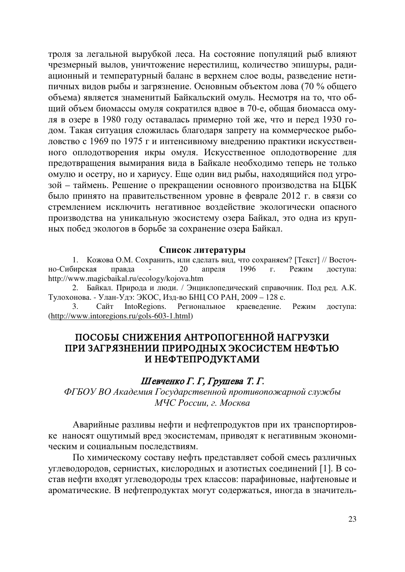троля за легальной вырубкой леса. На состояние популяций рыб влияют чрезмерный вылов, уничтожение нерестилищ, количество эпишуры, радиационный и температурный баланс в верхнем слое воды, разведение нетипичных видов рыбы и загрязнение. Основным объектом лова (70 % общего объема) является знаменитый Байкальский омуль. Несмотря на то, что общий объем биомассы омуля сократился вдвое в 70-е, общая биомасса омуля в озере в 1980 году оставалась примерно той же, что и перед 1930 годом. Такая ситуация сложилась благодаря запрету на коммерческое рыболовство с 1969 по 1975 г и интенсивному внедрению практики искусственного оплодотворения икры омуля. Искусственное оплодотворение для предотвращения вымирания вида в Байкале необходимо теперь не только омулю и осетру, но и хариусу. Еще один вид рыбы, находящийся под угрозой – таймень. Решение о прекращении основного производства на БЦБК было принято на правительственном уровне в феврале 2012 г. в связи со стремлением исключить негативное воздействие экологически опасного производства на уникальную экосистему озера Байкал, это одна из крупных побед экологов в борьбе за сохранение озера Байкал.

#### Список литературы

1. Кожова О.М. Сохранить, или сделать вид, что сохраняем? [Текст] // Восточно-Сибирская правда - 20 апреля 1996 г. Режим доступа: http://www.magicbaikal.ru/ecology/kojova.htm

2. Байкал. Природа и люди. / Энциклопедический справочник. Под ред. А.К. Тулохонова. - Улан-Удэ: ЭКОС, Изд-во БНЦ СО РАН, 2009 – 128 с.

3. Сайт IntoRegions. Региональное краеведение. Режим доступа: [\(http://www.intoregions.ru/gols-603-1.html\)](http://www.intoregions.ru/gols-603-1.html)

## ПОСОБЫ СНИЖЕНИЯ АНТРОПОГЕННОЙ НАГРУЗКИ ПРИ ЗАГРЯЗНЕНИИ ПРИРОДНЫХ ЭКОСИСТЕМ НЕФТЬЮ И НЕФТЕПРОДУКТАМИ

#### Шевченко Г. Г, Грушева Т. Г.

ФГБОУ ВО Академия Государственной противопожарной службы  $M$ ЧС России, г. Москва

Аварийные разливы нефти и нефтепродуктов при их транспортировке наносят ощутимый вред экосистемам, приводят к негативным экономическим и социальным последствиям.

По химическому составу нефть представляет собой смесь различных углеводородов, сернистых, кислородных и азотистых соединений [1]. В состав нефти входят углеводороды трех классов: парафиновые, нафтеновые и ароматические. В нефтепродуктах могут содержаться, иногда в значитель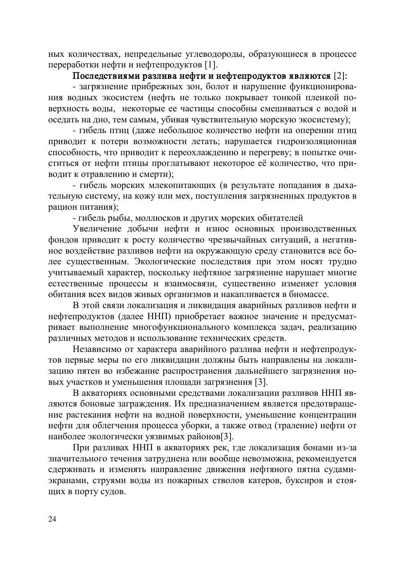ных количествах, непредельные углеводороды, образующиеся в процессе переработки нефти и нефтепродуктов [1].

## Последствиями разлива нефти и нефтепродуктов являются [2]:

- загрязнение прибрежных зон, болот и нарушение функционирования водных экосистем (нефть не только покрывает тонкой пленкой поверхность воды, некоторые ее частицы способны смешиваться с водой и оседать на дно, тем самым, убивая чувствительную морскую экосистему);

- гибель птиц (даже небольшое количество нефти на оперении птиц приводит к потери возможности летать; нарушается гидроизоляционная способность, что приводит к переохлаждению и перегреву; в попытке очиститься от нефти птицы проглатывают некоторое её количество, что приводит к отравлению и смерти);

- гибель морских млекопитающих (в результате попадания в дыхательную систему, на кожу или мех, поступления загрязненных продуктов в рацион питания);

- гибель рыбы, моллюсков и других морских обитателей

Увеличение добычи нефти и износ основных производственных фондов приводит к росту количество чрезвычайных ситуаций, а негативное воздействие разливов нефти на окружающую среду становится все более существенным. Экологические последствия при этом носят трудно учитываемый характер, поскольку нефтяное загрязнение нарушает многие естественные процессы и взаимосвязи, существенно изменяет условия обитания всех видов живых организмов и накапливается в биомассе.

В этой связи локализация и ликвидация аварийных разливов нефти и нефтепродуктов (далее ННП) приобретает важное значение и предусматривает выполнение многофункционального комплекса задач, реализацию различных методов и использование технических средств.

Независимо от характера аварийного разлива нефти и нефтепродуктов первые меры по его ликвидации должны быть направлены на локализацию пятен во избежание распространения дальнейшего загрязнения новых участков и уменьшения площади загрязнения [3].

В акваториях основными средствами локализации разливов ННП являются боновые заграждения. Их предназначением является предотвращение растекания нефти на водной поверхности, уменьшение концентрации нефти для облегчения процесса уборки, а также отвод (траление) нефти от наиболее экологически уязвимых районов[3].

При разливах ННП в акваториях рек, где локализация бонами из-за значительного течения затруднена или вообще невозможна, рекомендуется сдерживать и изменять направление движения нефтяного пятна судамиэкранами, струями воды из пожарных стволов катеров, буксиров и стоящих в порту судов.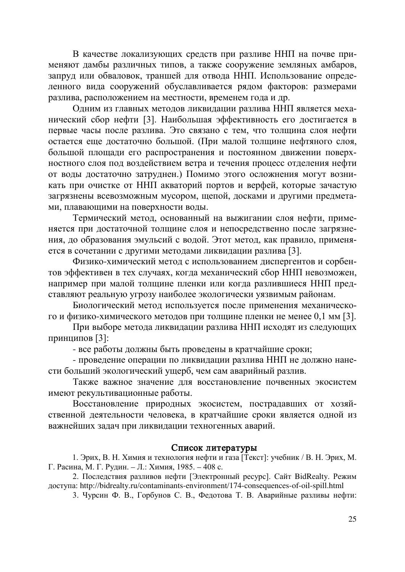В качестве локализующих средств при разливе ННП на почве применяют дамбы различных типов, а также сооружение земляных амбаров, запруд или обваловок, траншей для отвода ННП. Использование определенного вида сооружений обуславливается рядом факторов: размерами разлива, расположением на местности, временем года и др.

Одним из главных методов ликвидации разлива ННП является механический сбор нефти [3]. Наибольшая эффективность его достигается в первые часы после разлива. Это связано с тем, что толщина слоя нефти остается еще достаточно большой. (При малой толщине нефтяного слоя, большой площади его распространения и постоянном движении поверхностного слоя под воздействием ветра и течения процесс отделения нефти от воды достаточно затруднен.) Помимо этого осложнения могут возникать при очистке от ННП акваторий портов и верфей, которые зачастую загрязнены всевозможным мусором, щепой, досками и другими предметами, плавающими на поверхности воды.

Термический метод, основанный на выжигании слоя нефти, применяется при достаточной толщине слоя и непосредственно после загрязнения, до образования эмульсий с водой. Этот метод, как правило, применяется в сочетании с другими методами ликвидации разлива [3].

Физико-химический метод с использованием диспергентов и сорбентов эффективен в тех случаях, когда механический сбор ННП невозможен, например при малой толщине пленки или когда разлившиеся ННП представляют реальную угрозу наиболее экологически уязвимым районам.

Биологический метод используется после применения механического и физико-химического методов при толщине пленки не менее 0,1 мм [3].

При выборе метода ликвидации разлива ННП исходят из следующих принципов [3]:

- все работы должны быть проведены в кратчайшие сроки;

- проведение операции по ликвидации разлива ННП не должно нанести больший экологический ущерб, чем сам аварийный разлив.

Также важное значение для восстановление почвенных экосистем имеют рекультивационные работы.

Восстановление природных экосистем, пострадавших от хозяйственной деятельности человека, в кратчайшие сроки является одной из важнейших задач при ликвидации техногенных аварий.

#### Список литературы

1. Эрих, В. Н. Химия и технология нефти и газа [Текст]: учебник / В. Н. Эрих, М. Г. Расина, М. Г. Рудин. – Л.: Химия, 1985. – 408 с.

2. Последствия разливов нефти [Электронный ресурс]. Сайт BidRealty. Режим ɞɨɫɬɭɩɚ: http://bidrealty.ru/contaminants-environment/174-consequences-of-oil-spill.html

3. Чурсин Ф. В., Горбунов С. В., Федотова Т. В. Аварийные разливы нефти: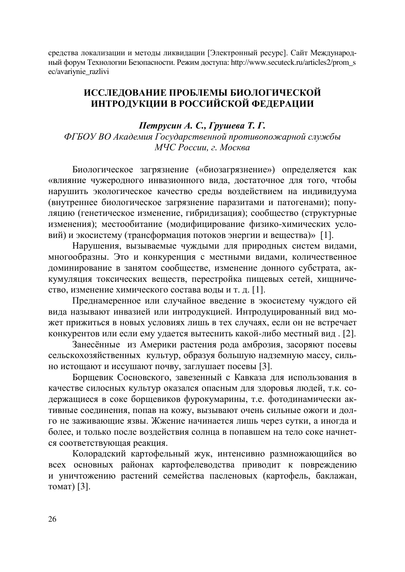средства локализации и методы ликвидации [Электронный ресурс]. Сайт Международный форум Технологии Безопасности. Режим доступа: http://www.secuteck.ru/articles2/prom s ec/avariynie\_razlivi

## ИССЛЕДОВАНИЕ ПРОБЛЕМЫ БИОЛОГИЧЕСКОЙ ИНТРОДУКЦИИ В РОССИЙСКОЙ ФЕДЕРАЦИИ

*Петрусин А. С., Грушева Т. Г.* ФГБОУ ВО Академия Государственной противопожарной службы  $M$ ЧС России, г. Москва

Биологическое загрязнение («биозагрязнение») определяется как «влияние чужеродного инвазионного вида, достаточное для того, чтобы нарушить экологическое качество среды воздействием на индивидуума (внутреннее биологическое загрязнение паразитами и патогенами); популяцию (генетическое изменение, гибридизация); сообщество (структурные изменения); местообитание (модифицирование физико-химических условий) и экосистему (трансформация потоков энергии и вещества)» [1].

Нарушения, вызываемые чуждыми для природных систем видами, многообразны. Это и конкуренция с местными видами, количественное доминирование в занятом сообществе, изменение донного субстрата, аккумуляция токсических веществ, перестройка пищевых сетей, хищничество, изменение химического состава воды и т. д. [1].

Преднамеренное или случайное введение в экосистему чуждого ей вида называют инвазией или интродукцией. Интродуцированный вид может прижиться в новых условиях лишь в тех случаях, если он не встречает конкурентов или если ему удается вытеснить какой-либо местный вид. [2].

Занесённые из Америки растения рода амброзия, засоряют посевы сельскохозяйственных культур, образуя большую надземную массу, сильно истощают и иссушают почву, заглушает посевы [3].

Борщевик Сосновского, завезенный с Кавказа для использования в качестве силосных культур оказался опасным для здоровья людей, т.к. содержащиеся в соке борщевиков фурокумарины, т.е. фотодинамически активные соединения, попав на кожу, вызывают очень сильные ожоги и долго не заживающие язвы. Жжение начинается лишь через сутки, а иногда и более, и только после воздействия солнца в попавшем на тело соке начнется соответствующая реакция.

Колорадский картофельный жук, интенсивно размножающийся во всех основных районах картофелеводства приводит к повреждению и уничтожению растений семейства пасленовых (картофель, баклажан, томат) [3].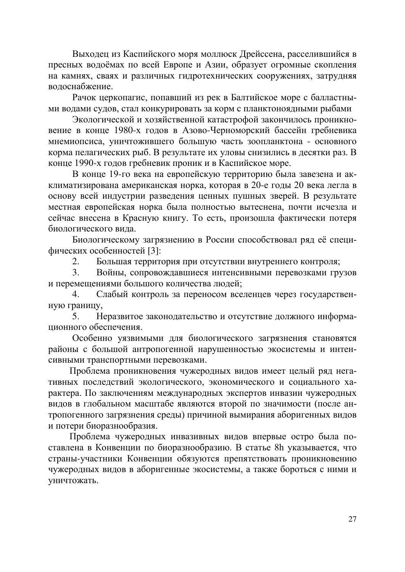Выходец из Каспийского моря моллюск Дрейссена, расселившийся в пресных водоёмах по всей Европе и Азии, образует огромные скопления на камнях, сваях и различных гидротехнических сооружениях, затрудняя волоснабжение.

Рачок церкопагис, попавший из рек в Балтийское море с балластными водами судов, стал конкурировать за корм с планктоноядными рыбами

Экологической и хозяйственной катастрофой закончилось проникновение в конце 1980-х годов в Азово-Черноморский бассейн гребневика мнемиопсиса, уничтожившего большую часть зоопланктона - основного корма пелагических рыб. В результате их уловы снизились в десятки раз. В конце 1990-х годов гребневик проник и в Каспийское море.

В конце 19-го века на европейскую территорию была завезена и акклиматизирована американская норка, которая в 20-е годы 20 века легла в основу всей индустрии разведения ценных пушных зверей. В результате местная европейская норка была полностью вытеснена, почти исчезла и сейчас внесена в Красную книгу. То есть, произошла фактически потеря биологического вила.

Биологическому загрязнению в России способствовал ряд её специфических особенностей [3]:

2. Большая территория при отсутствии внутреннего контроля;

3. Войны, сопровождавшиеся интенсивными перевозками грузов и перемещениями большого количества людей;

4. Слабый контроль за переносом вселенцев через государственную границу,

5. Неразвитое законодательство и отсутствие должного информационного обеспечения.

Особенно уязвимыми для биологического загрязнения становятся районы с большой антропогенной нарушенностью экосистемы и интенсивными транспортными перевозками.

Проблема проникновения чужеродных видов имеет целый ряд негативных последствий экологического, экономического и социального характера. По заключениям международных экспертов инвазии чужеродных видов в глобальном масштабе являются второй по значимости (после антропогенного загрязнения среды) причиной вымирания аборигенных видов и потери биоразнообразия.

Проблема чужеродных инвазивных видов впервые остро была поставлена в Конвенции по биоразнообразию. В статье 8h указывается, что страны-участники Конвенции обязуются препятствовать проникновению чужеродных видов в аборигенные экосистемы, а также бороться с ними и үничтожать.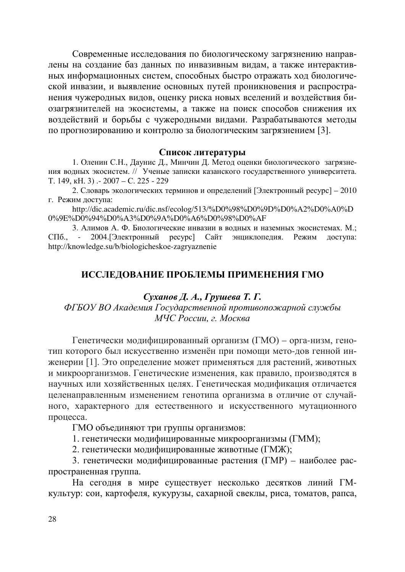Современные исследования по биологическому загрязнению направлены на создание баз данных по инвазивным видам, а также интерактивных информационных систем, способных быстро отражать ход биологической инвазии, и выявление основных путей проникновения и распространения чужеродных видов, оценку риска новых вселений и воздействия биозагрязнителей на экосистемы, а также на поиск способов снижения их воздействий и борьбы с чужеродными видами. Разрабатываются методы по прогнозированию и контролю за биологическим загрязнением [3].

#### Список литературы

1. Оленин С.Н., Даунис Д., Минчин Д. Метод оценки биологического загрязнения водных экосистем. // Ученые записки казанского государственного университета. Ɍ. 149, ɤɇ. 3) .- 2007 – ɋ. 225 - 229

2. Словарь экологических терминов и определений [Электронный ресурс] – 2010 г. Режим доступа:

http://dic.academic.ru/dic.nsf/ecolog/513/%D0%98%D0%9D%D0%A2%D0%A0%D 0%9E%D0%94%D0%A3%D0%9A%D0%A6%D0%98%D0%AF

3. Алимов А. Ф. Биологические инвазии в волных и наземных экосистемах. М.: СПб., - 2004. [Электронный ресурс] Сайт энциклопедия. Режим доступа: http://knowledge.su/b/biologicheskoe-zagryaznenie

## ИССЛЕДОВАНИЕ ПРОБЛЕМЫ ПРИМЕНЕНИЯ ГМО

#### *Суханов Д. А., Грушева Т. Г.*

ФГБОУ ВО Академия Государственной противопожарной службы *МЧС России, г. Москва* 

Генетически модифицированный организм (ГМО) – орга-низм, генотип которого был искусственно изменён при помощи мето-дов генной инженерии [1]. Это определение может применяться для растений, животных и микроорганизмов. Генетические изменения, как правило, производятся в научных или хозяйственных целях. Генетическая модификация отличается целенаправленным изменением генотипа организма в отличие от случайного, характерного для естественного и искусственного мутационного процесса.

ГМО объединяют три группы организмов:

1. генетически модифицированные микроорганизмы (ГММ);

2. генетически модифицированные животные (ГМЖ);

3. генетически модифицированные растения (ГМР) – наиболее распространенная группа.

На сегодня в мире существует несколько десятков линий ГМкультур: сои, картофеля, кукурузы, сахарной свеклы, риса, томатов, рапса,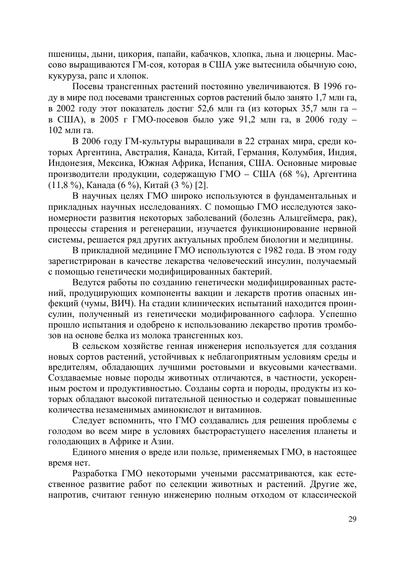пшеницы, дыни, цикория, папайи, кабачков, хлопка, льна и люцерны. Массово выращиваются ГМ-соя, которая в США уже вытеснила обычную сою, кукуруза, рапс и хлопок.

Посевы трансгенных растений постоянно увеличиваются. В 1996 году в мире под посевами трансгенных сортов растений было занято 1,7 млн га, в 2002 году этот показатель достиг 52,6 млн га (из которых 35,7 млн га в США), в 2005 г ГМО-посевов было уже 91,2 млн га, в 2006 году -102 млн га.

В 2006 году ГМ-культуры выращивали в 22 странах мира, среди которых Аргентина, Австралия, Канада, Китай, Германия, Колумбия, Индия, Индонезия, Мексика, Южная Африка, Испания, США. Основные мировые производители продукции, содержащую ГМО – США (68 %), Аргентина (11,8 %), Канада (6 %), Китай (3 %) [2].

В научных целях ГМО широко используются в фундаментальных и прикладных научных исследованиях. С помощью ГМО исследуются закономерности развития некоторых заболеваний (болезнь Альцгеймера, рак), процессы старения и регенерации, изучается функционирование нервной системы, решается ряд других актуальных проблем биологии и медицины.

В прикладной медицине ГМО используются с 1982 года. В этом году зарегистрирован в качестве лекарства человеческий инсулин, получаемый с помошью генетически молифицированных бактерий.

Ведутся работы по созданию генетически модифицированных растений, продуцирующих компоненты вакцин и лекарств против опасных инфекций (чумы, ВИЧ). На стадии клинических испытаний находится проинсулин, полученный из генетически модифированного сафлора. Успешно прошло испытания и одобрено к использованию лекарство против тромбозов на основе белка из молока трансгенных коз.

В сельском хозяйстве генная инженерия используется для создания новых сортов растений, устойчивых к неблагоприятным условиям среды и вредителям, обладающих лучшими ростовыми и вкусовыми качествами. Создаваемые новые породы животных отличаются, в частности, ускоренным ростом и продуктивностью. Созданы сорта и породы, продукты из которых обладают высокой питательной ценностью и содержат повышенные количества незаменимых аминокислот и витаминов.

Следует вспомнить, что ГМО создавались для решения проблемы с голодом во всем мире в условиях быстрорастущего населения планеты и голодающих в Африке и Азии.

Единого мнения о вреде или пользе, применяемых ГМО, в настоящее время нет.

Разработка ГМО некоторыми учеными рассматриваются, как естественное развитие работ по селекции животных и растений. Другие же, напротив, считают генную инженерию полным отходом от классической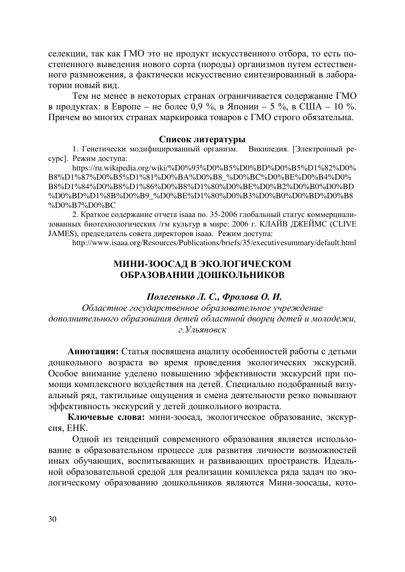селекции, так как ГМО это не продукт искусственного отбора, то есть постепенного выведения нового сорта (породы) организмов путем естественного размножения, а фактически искусственно синтезированный в лаборатории новый вид.

Тем не менее в некоторых странах ограничивается содержание ГМО в продуктах: в Европе – не более 0,9 %, в Японии – 5 %, в США – 10 %. Причем во многих странах маркировка товаров с ГМО строго обязательна.

#### Список литературы

1. Генетически модифицированный организм. Википедия. [Электронный ресурс]. Режим доступа:

https://ru.wikipedia.org/wiki/%D0%93%D0%B5%D0%BD%D0%B5%D1%82%D0% B8%D1%87%D0%B5%D1%81%D0%BA%D0%B8\_%D0%BC%D0%BE%D0%B4%D0% B8%D1%84%D0%B8%D1%86%D0%B8%D1%80%D0%BE%D0%B2%D0%B0%D0%BD %D0%BD%D1%8B%D0%B9\_%D0%BE%D1%80%D0%B3%D0%B0%D0%BD%D0%B8 %D0%B7%D0%BC

2. Краткое содержание отчета isaaa no. 35-2006 глобальный статус коммерциализованных биотехнологических /гм культур в мире: 2006 г. КЛАЙВ ДЖЕЙМС (CLIVE JAMES), председатель совета директоров isaaa. Режим доступа:

http://www.isaaa.org/Resources/Publications/briefs/35/executivesummary/default.html

### МИНИ-ЗООСАД В ЭКОЛОГИЧЕСКОМ ОБРАЗОВАНИИ ДОШКОЛЬНИКОВ

#### $\Pi$ олегенько Л. С., Фролова О. И.

Областное государственное образовательное учреждение дополнительного образования детей областной дворец детей и молодежи,  $2.$ *Ульяновск* 

Аннотация: Статья посвящена анализу особенностей работы с детьми дошкольного возраста во время проведения экологических экскурсий. Особое внимание уделено повышению эффективности экскурсий при помощи комплексного воздействия на детей. Специально подобранный визуальный ряд, тактильные ощущения и смена деятельности резко повышают эффективность экскурсий у детей дошкольного возраста.

Ключевые слова: мини-зоосад, экологическое образование, экскурсия, ЕНК.

Одной из тенденций современного образования является использование в образовательном процессе для развития личности возможностей иных обучающих, воспитывающих и развивающих пространств. Идеальной образовательной средой для реализации комплекса ряда задач по экологическому образованию дошкольников являются Мини-зоосады, кото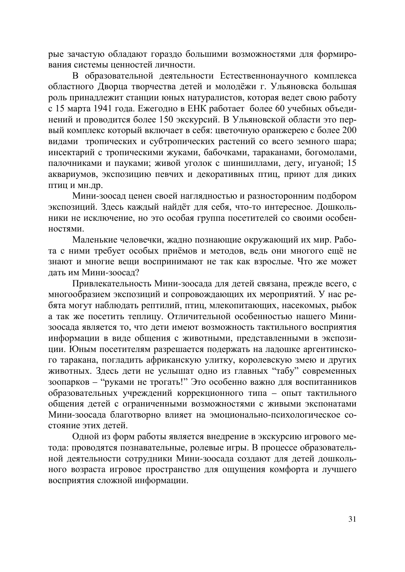рые зачастую обладают гораздо большими возможностями для формирования системы пенностей личности

В образовательной деятельности Естественнонаучного комплекса областного Дворца творчества детей и молодёжи г. Ульяновска большая роль принадлежит станции юных натуралистов, которая ведет свою работу с 15 марта 1941 года. Ежегодно в ЕНК работает более 60 учебных объединений и проводится более 150 экскурсий. В Ульяновской области это первый комплекс который включает в себя: цветочную оранжерею с более 200 видами тропических и субтропических растений со всего земного шара; инсектарий с тропическими жуками, бабочками, тараканами, богомолами, палочниками и пауками; живой уголок с шиншиллами, дегу, игуаной; 15 аквариумов, экспозицию певчих и декоративных птиц, приют для диких птиц и мн.др.

Мини-зоосад ценен своей наглядностью и разносторонним подбором экспозиций. Здесь каждый найдёт для себя, что-то интересное. Дошкольники не исключение, но это особая группа посетителей со своими особен- $HOCT$ ЯМИ

Маленькие человечки, жадно познающие окружающий их мир. Работа с ними требует особых приёмов и методов, ведь они многого ещё не знают и многие вещи воспринимают не так как взрослые. Что же может дать им Мини-зоосал?

Привлекательность Мини-зоосада для детей связана, прежде всего, с многообразием экспозиций и сопровождающих их мероприятий. У нас ребята могут наблюдать рептилий, птиц, млекопитающих, насекомых, рыбок а так же посетить теплицу. Отличительной особенностью нашего Минизоосада является то, что дети имеют возможность тактильного восприятия информации в виде общения с животными, представленными в экспозиции. Юным посетителям разрешается подержать на ладошке аргентинского таракана, погладить африканскую улитку, королевскую змею и других животных. Здесь дети не услышат одно из главных "табу" современных зоопарков – "руками не трогать!" Это особенно важно для воспитанников образовательных учреждений коррекционного типа - опыт тактильного общения детей с ограниченными возможностями с живыми экспонатами Мини-зоосада благотворно влияет на эмоционально-психологическое состояние этих летей.

Одной из форм работы является внедрение в экскурсию игрового метода: проводятся познавательные, ролевые игры. В процессе образовательной деятельности сотрудники Мини-зоосада создают для детей дошкольного возраста игровое пространство для ощущения комфорта и лучшего восприятия сложной информации.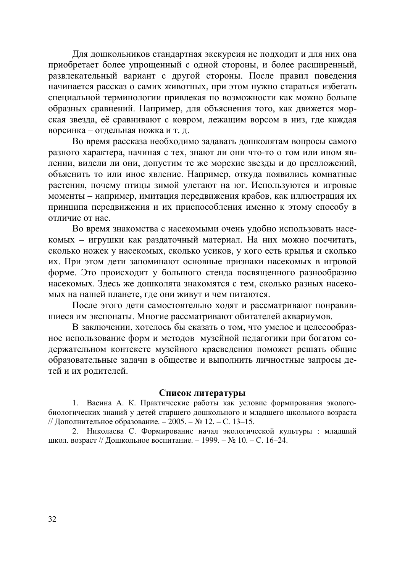Для дошкольников стандартная экскурсия не подходит и для них она приобретает более упрощенный с одной стороны, и более расширенный, развлекательный вариант с другой стороны. После правил поведения начинается рассказ о самих животных, при этом нужно стараться избегать специальной терминологии привлекая по возможности как можно больше образных сравнений. Например, для объяснения того, как движется морская звезда, её сравнивают с ковром, лежащим ворсом в низ, где каждая ворсинка – отдельная ножка и т. д.

Во время рассказа необходимо задавать дошколятам вопросы самого разного характера, начиная с тех, знают ли они что-то о том или ином явлении, видели ли они, допустим те же морские звезды и до предложений, объяснить то или иное явление. Например, откуда появились комнатные растения, почему птицы зимой улетают на юг. Используются и игровые моменты – например, имитация передвижения крабов, как иллюстрация их принципа передвижения и их приспособления именно к этому способу в отличие от нас.

Во время знакомства с насекомыми очень удобно использовать насекомых – игрушки как раздаточный материал. На них можно посчитать, сколько ножек у насекомых, сколько усиков, у кого есть крылья и сколько их. При этом дети запоминают основные признаки насекомых в игровой форме. Это происходит у большого стенда посвященного разнообразию насекомых. Здесь же дошколята знакомятся с тем, сколько разных насекомых на нашей планете, где они живут и чем питаются.

После этого дети самостоятельно ходят и рассматривают понравившиеся им экспонаты. Многие рассматривают обитателей аквариумов.

В заключении, хотелось бы сказать о том, что умелое и целесообразное использование форм и методов музейной педагогики при богатом содержательном контексте музейного краеведения поможет решать общие образовательные задачи в обществе и выполнить личностные запросы детей и их родителей.

#### Список литературы

1. Васина А. К. Практические работы как условие формирования экологобиологических знаний у детей старшего дошкольного и младшего школьного возраста // Дополнительное образование. – 2005. – № 12. – С. 13–15.

2. Николаева С. Формирование начал экологической культуры : младший школ. возраст // Дошкольное воспитание. – 1999. – № 10. – С. 16–24.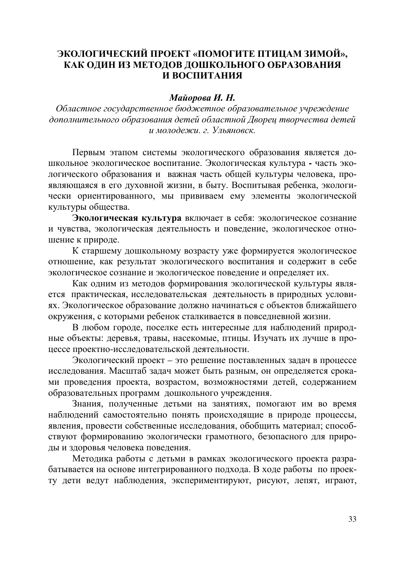## ЭКОЛОГИЧЕСКИЙ ПРОЕКТ «ПОМОГИТЕ ПТИЦАМ ЗИМОЙ», КАК ОЛИН ИЗ МЕТОЛОВ ЛОШКОЛЬНОГО ОБРАЗОВАНИЯ И ВОСПИТАНИЯ

#### **Майорова И. Н.**

Областное государственное бюджетное образовательное учреждение дополнительного образования детей областной Двореи творчества детей  $u$  молодежи. г. Ульяновск.

Первым этапом системы экологического образования является дошкольное экологическое воспитание. Экологическая культура - часть экологического образования и важная часть общей культуры человека, проявляющаяся в его духовной жизни, в быту. Воспитывая ребенка, экологически ориентированного, мы прививаем ему элементы экологической культуры общества.

Экологическая культура включает в себя: экологическое сознание и чувства, экологическая деятельность и поведение, экологическое отношение к природе.

К старшему дошкольному возрасту уже формируется экологическое отношение, как результат экологического воспитания и содержит в себе экологическое сознание и экологическое поведение и определяет их.

Как одним из методов формирования экологической культуры является практическая, исследовательская деятельность в природных условиях. Экологическое образование должно начинаться с объектов ближайшего окружения, с которыми ребенок сталкивается в повседневной жизни.

В любом городе, поселке есть интересные для наблюдений природные объекты: деревья, травы, насекомые, птицы. Изучать их лучше в процессе проектно-исследовательской деятельности.

Экологический проект – это решение поставленных задач в процессе исследования. Масштаб задач может быть разным, он определяется сроками проведения проекта, возрастом, возможностями детей, содержанием образовательных программ дошкольного учреждения.

Знания, полученные детьми на занятиях, помогают им во время наблюдений самостоятельно понять происходящие в природе процессы, явления, провести собственные исследования, обобщить материал; способствуют формированию экологически грамотного, безопасного для природы и здоровья человека поведения.

Методика работы с детьми в рамках экологического проекта разрабатывается на основе интегрированного подхода. В ходе работы по проекту дети ведут наблюдения, экспериментируют, рисуют, лепят, играют,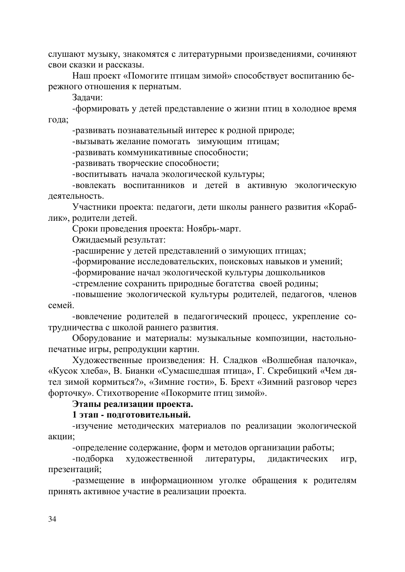слушают музыку, знакомятся с литературными произведениями, сочиняют свои сказки и рассказы.

Наш проект «Помогите птицам зимой» способствует воспитанию бережного отношения к пернатым.

Залачи:

-формировать у детей представление о жизни птиц в холодное время гола:

-развивать познавательный интерес к родной природе;

-вызывать желание помогать зимующим птицам;

-развивать коммуникативные способности;

-развивать творческие способности;

-воспитывать начала экологической культуры;

-вовлекать воспитанников и детей в активную экологическую деятельность.

Участники проекта: педагоги, дети школы раннего развития «Кораблик», родители детей.

Сроки проведения проекта: Ноябрь-март.

Ожидаемый результат:

-расширение у детей представлений о зимующих птицах;

-формирование исследовательских, поисковых навыков и умений;

-формирование начал экологической культуры дошкольников

-стремление сохранить природные богатства своей родины;

-повышение экологической культуры родителей, педагогов, членов семей

-вовлечение родителей в педагогический процесс, укрепление сотрудничества с школой раннего развития.

Оборудование и материалы: музыкальные композиции, настольнопечатные игры, репродукции картин.

Художественные произведения: Н. Сладков «Волшебная палочка», «Кусок хлеба», В. Бианки «Сумасшедшая птица», Г. Скребицкий «Чем дятел зимой кормиться?», «Зимние гости», Б. Брехт «Зимний разговор через форточку». Стихотворение «Покормите птиц зимой».

#### Этапы реализации проекта.

## 1 этап - полготовительный.

-изучение методических материалов по реализации экологической акции;

-определение содержание, форм и методов организации работы;

-подборка художественной литературы, дидактических игр, презентаций;

-размещение в информационном уголке обращения к родителям принять активное участие в реализации проекта.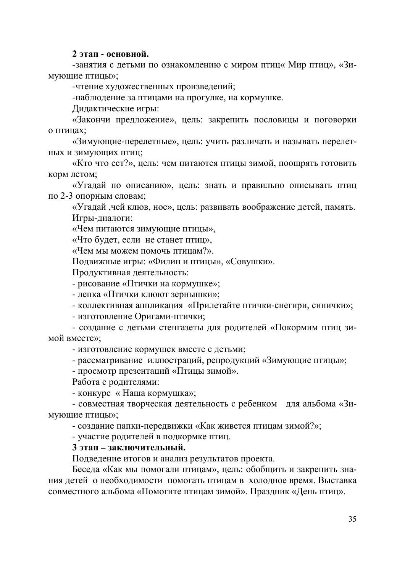#### $2$  этап **- основной.**

-занятия с детьми по ознакомлению с миром птиц« Мир птиц», «Зимующие птицы»;

-чтение художественных произведений;

-наблюдение за птицами на прогулке, на кормушке.

Дидактические игры:

«Закончи предложение», цель: закрепить пословицы и поговорки о птицах:

«Зимующие-перелетные», цель: учить различать и называть перелет-НЫХ И ЗИМУЮЩИХ ПТИЦ;

«Кто что ест?», цель: чем питаются птицы зимой, поощрять готовить корм летом;

«Угадай по описанию», цель: знать и правильно описывать птиц по 2-3 опорным словам;

«Угадай, чей клюв, нос», цель: развивать воображение детей, память. Игры-диалоги:

«Чем питаются зимующие птицы»,

«Что будет, если не станет птиц»,

«Чем мы можем помочь птицам?».

Подвижные игры: «Филин и птицы», «Совушки».

Продуктивная деятельность:

- рисование «Птички на кормушке»;

- лепка «Птички клюют зернышки»;

- коллективная аппликация «Прилетайте птички-снегири, синички»;

- изготовление Оригами-птички;

- создание с детьми стенгазеты для родителей «Покормим птиц зимой вместе»;

- изготовление кормушек вместе с детьми;

- рассматривание иллюстраций, репродукций «Зимующие птицы»;

- просмотр презентаций «Птицы зимой».

Работа с родителями:

- конкурс « Наша кормушка»;

- совместная творческая деятельность с ребенком для альбома «Зимующие птицы»;

- создание папки-передвижки «Как живется птицам зимой?»;

- участие родителей в подкормке птиц.

## 3 этап – заключительный.

Подведение итогов и анализ результатов проекта.

Беседа «Как мы помогали птицам», цель: обобщить и закрепить знания детей о необходимости помогать птицам в холодное время. Выставка совместного альбома «Помогите птицам зимой». Праздник «День птиц».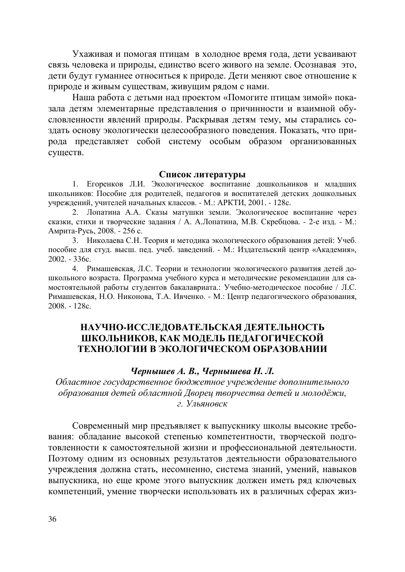Ухаживая и помогая птицам в холодное время года, дети усваивают связь человека и природы, единство всего живого на земле. Осознавая это, дети будут гуманнее относиться к природе. Дети меняют свое отношение к природе и живым существам, живущим рядом с нами.

Наша работа с детьми над проектом «Помогите птицам зимой» показала детям элементарные представления о причинности и взаимной обусловленности явлений природы. Раскрывая детям тему, мы старались создать основу экологически целесообразного поведения. Показать, что природа представляет собой систему особым образом организованных существ.

#### Список литературы

1. Егоренков Л.И. Экологическое воспитание дошкольников и младших школьников: Пособие для родителей, педагогов и воспитателей детских дошкольных учреждений, учителей начальных классов. - М.: АРКТИ, 2001. - 128с.

2. Лопатина А.А. Сказы матушки земли. Экологическое воспитание через сказки, стихи и творческие задания / А. А.Лопатина, М.В. Скребцова. - 2-е изд. - М.: Амрита-Русь, 2008. - 256 с.

3. Николаева С.Н. Теория и методика экологического образования детей: Учеб. пособие для студ. высш. пед. учеб. заведений. - М.: Издательский центр «Академия»,  $2002. - 336c.$ 

4. Римашевская, Л.С. Теории и технологии экологического развития детей дошкольного возраста. Программа учебного курса и методические рекомендации для самостоятельной работы студентов бакалавриата.: Учебно-методическое пособие / Л.С. Римашевская, Н.О. Никонова, Т.А. Ивченко. - М.: Центр педагогического образования, 2008. - 128c.

## НАУЧНО-ИССЛЕДОВАТЕЛЬСКАЯ ДЕЯТЕЛЬНОСТЬ ШКОЛЬНИКОВ, КАК МОДЕЛЬ ПЕДАГОГИЧЕСКОЙ ТЕХНОЛОГИИ В ЭКОЛОГИЧЕСКОМ ОБРАЗОВАНИИ

#### *Чернышев А. В., Чернышева Н. Л.*

Областное государственное бюджетное учреждение дополнительного  $\delta$ бразования детей областной Дворец творчества детей и молодёжи, г. *Ульяновск* 

Современный мир предъявляет к выпускнику школы высокие требования: обладание высокой степенью компетентности, творческой подготовленности к самостоятельной жизни и профессиональной деятельности. Поэтому одним из основных результатов деятельности образовательного учреждения должна стать, несомненно, система знаний, умений, навыков выпускника, но еще кроме этого выпускник должен иметь ряд ключевых компетенций, умение творчески использовать их в различных сферах жиз-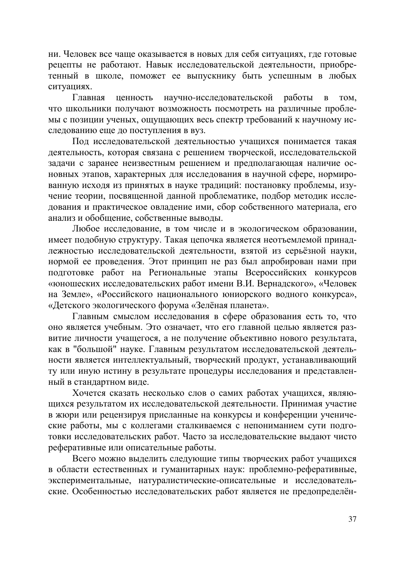ни. Человек все чаще оказывается в новых для себя ситуациях, где готовые рецепты не работают. Навык исследовательской деятельности, приобретенный в школе, поможет ее выпускнику быть успешным в любых ситуациях.

Главная ценность научно-исследовательской работы в том, что школьники получают возможность посмотреть на различные проблемы с позиции ученых, ощущающих весь спектр требований к научному исследованию еще до поступления в вуз.

Под исследовательской деятельностью учащихся понимается такая деятельность, которая связана с решением творческой, исследовательской задачи с заранее неизвестным решением и предполагающая наличие основных этапов, характерных для исследования в научной сфере, нормированную исходя из принятых в науке традиций: постановку проблемы, изучение теории, посвященной данной проблематике, подбор методик исследования и практическое овладение ими, сбор собственного материала, его анализ и обобщение, собственные выводы.

Любое исследование, в том числе и в экологическом образовании, имеет подобную структуру. Такая цепочка является неотъемлемой принадлежностью исследовательской деятельности, взятой из серьёзной науки, нормой ее проведения. Этот принцип не раз был апробирован нами при подготовке работ на Региональные этапы Всероссийских конкурсов «юношеских исследовательских работ имени В.И. Вернадского», «Человек на Земле», «Российского национального юниорского водного конкурса», «Детского экологического форума «Зелёная планета».

Главным смыслом исследования в сфере образования есть то, что оно является учебным. Это означает, что его главной целью является развитие личности учащегося, а не получение объективно нового результата, как в "большой" науке. Главным результатом исследовательской деятельности является интеллектуальный, творческий продукт, устанавливающий ту или иную истину в результате процедуры исследования и представленный в стандартном виде.

Хочется сказать несколько слов о самих работах учащихся, являющихся результатом их исследовательской деятельности. Принимая участие в жюри или рецензируя присланные на конкурсы и конференции ученические работы, мы с коллегами сталкиваемся с непониманием сути подготовки исследовательских работ. Часто за исследовательские выдают чисто реферативные или описательные работы.

Всего можно выделить следующие типы творческих работ учащихся в области естественных и гуманитарных наук: проблемно-реферативные, экспериментальные, натуралистические-описательные и исследовательские. Особенностью исследовательских работ является не предопределён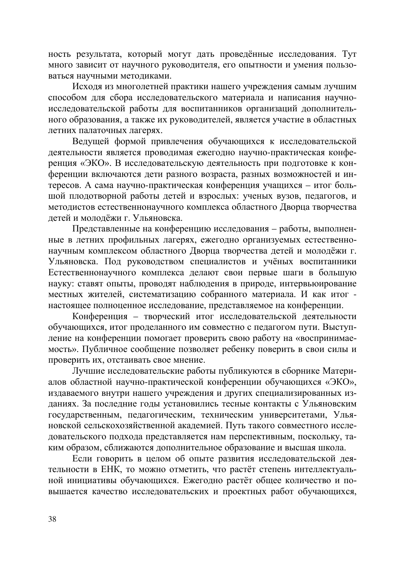ность результата, который могут дать проведённые исследования. Тут много зависит от научного руководителя, его опытности и умения пользоваться научными методиками.

Исходя из многолетней практики нашего учреждения самым лучшим способом для сбора исследовательского материала и написания научноисследовательской работы для воспитанников организаций дополнительного образования, а также их руководителей, является участие в областных летних палаточных лагерях.

Ведущей формой привлечения обучающихся к исследовательской деятельности является проводимая ежегодно научно-практическая конференция «ЭКО». В исследовательскую деятельность при подготовке к конференции включаются дети разного возраста, разных возможностей и интересов. А сама научно-практическая конференция учащихся – итог большой плодотворной работы детей и взрослых: ученых вузов, педагогов, и методистов естественнонаучного комплекса областного Дворца творчества детей и молодёжи г. Ульяновска.

Представленные на конференцию исследования – работы, выполненные в летних профильных лагерях, ежегодно организуемых естественнонаучным комплексом областного Дворца творчества детей и молодёжи г. Ульяновска. Под руководством специалистов и учёных воспитанники Естественнонаучного комплекса делают свои первые шаги в большую науку: ставят опыты, проводят наблюдения в природе, интервьюирование местных жителей, систематизацию собранного материала. И как итог настоящее полноценное исследование, представляемое на конференции.

Конференция – творческий итог исследовательской деятельности обучающихся, итог проделанного им совместно с педагогом пути. Выступление на конференции помогает проверить свою работу на «воспринимаемость». Публичное сообщение позволяет ребенку поверить в свои силы и проверить их, отстаивать свое мнение.

Лучшие исследовательские работы публикуются в сборнике Материалов областной научно-практической конференции обучающихся «ЭКО», издаваемого внутри нашего учреждения и других специализированных изданиях. За последние годы установились тесные контакты с Ульяновским государственным, педагогическим, техническим университетами, Ульяновской сельскохозяйственной академией. Путь такого совместного исследовательского подхода представляется нам перспективным, поскольку, таким образом, сближаются дополнительное образование и высшая школа.

Если говорить в целом об опыте развития исследовательской деятельности в ЕНК, то можно отметить, что растёт степень интеллектуальной инициативы обучающихся. Ежегодно растёт общее количество и повышается качество исследовательских и проектных работ обучающихся,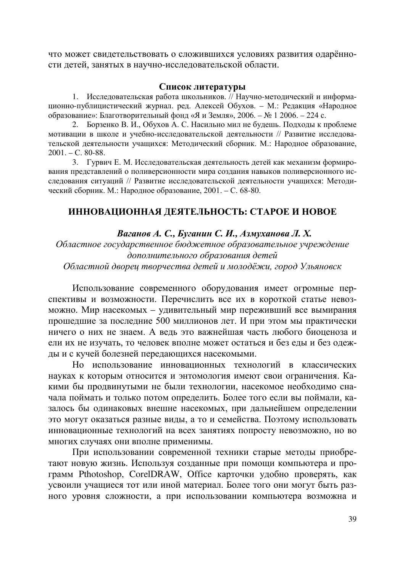что может свидетельствовать о сложившихся условиях развития одарённости детей, занятых в научно-исследовательской области.

#### Список литературы

1. Исследовательская работа школьников. // Научно-методический и информационно-публицистический журнал. ред. Алексей Обухов. – М.: Редакция «Народное образование»: Благотворительный фонд «Я и Земля», 2006. – № 1 2006. – 224 с.

2. Борзенко В. И., Обухов А. С. Насильно мил не будешь. Подходы к проблеме мотивации в школе и учебно-исследовательской деятельности // Развитие исследовательской деятельности учащихся: Методический сборник. М.: Народное образование,  $2001. - C. 80-88.$ 

3. Гурвич Е. М. Исследовательская деятельность детей как механизм формирования представлений о поливерсионности мира создания навыков поливерсионного исследования ситуаций // Развитие исследовательской деятельности учащихся: Методический сборник. М.: Народное образование, 2001. – С. 68-80.

## ИННОВАЦИОННАЯ ДЕЯТЕЛЬНОСТЬ: СТАРОЕ И НОВОЕ

#### $Bazaно$ *є А.* С., Буганин С. И., Азмуханова Л. Х.

Областное государственное бюджетное образовательное учреждение дополнительного образования детей

Областной дворец творчества детей и молодёжи, город Ульяновск

Использование современного оборудования имеет огромные перспективы и возможности. Перечислить все их в короткой статье невозможно. Мир насекомых – удивительный мир переживший все вымирания прошедшие за последние 500 миллионов лет. И при этом мы практически ничего о них не знаем. А ведь это важнейшая часть любого биоценоза и ели их не изучать, то человек вполне может остаться и без еды и без одежды и с кучей болезней передающихся насекомыми.

Но использование инновационных технологий в классических науках к которым относится и энтомология имеют свои ограничения. Какими бы продвинутыми не были технологии, насекомое необходимо сначала поймать и только потом определить. Более того если вы поймали, казалось бы одинаковых внешне насекомых, при дальнейшем определении это могут оказаться разные виды, а то и семейства. Поэтому использовать инновационные технологий на всех занятиях попросту невозможно, но во многих случаях они вполне применимы.

При использовании современной техники старые методы приобретают новую жизнь. Используя созданные при помощи компьютера и программ Pthotoshop, CorelDRAW, Office карточки удобно проверять, как усвоили учащиеся тот или иной материал. Более того они могут быть разного уровня сложности, а при использовании компьютера возможна и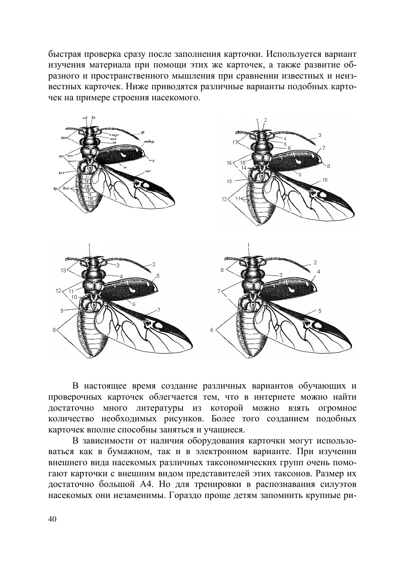быстрая проверка сразу после заполнения карточки. Используется вариант изучения материала при помощи этих же карточек, а также развитие образного и пространственного мышления при сравнении известных и неизвестных карточек. Ниже приводятся различные варианты подобных карточек на примере строения насекомого.



В настоящее время создание различных вариантов обучающих и проверочных карточек облегчается тем, что в интернете можно найти **истаточно** много литературы из которой можно взять огромное количество необходимых рисунков. Более того созданием подобных карточек вполне способны заняться и учащиеся.

В зависимости от наличия оборудования карточки могут использоваться как в бумажном, так и в электронном варианте. При изучении внешнего вида насекомых различных таксономических групп очень помогают карточки с внешним видом представителей этих таксонов. Размер их достаточно большой А4. Но для тренировки в распознавания силуэтов насекомых они незаменимы. Гораздо проще детям запомнить крупные ри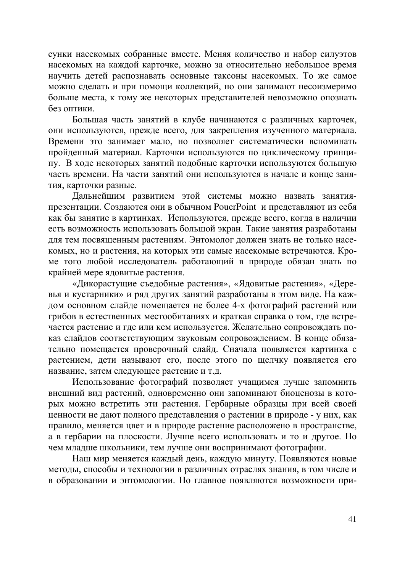сунки насекомых собранные вместе. Меняя количество и набор силуэтов насекомых на каждой карточке, можно за относительно небольшое время научить детей распознавать основные таксоны насекомых. То же самое можно сделать и при помощи коллекций, но они занимают несоизмеримо больше места, к тому же некоторых представителей невозможно опознать без оптики.

Большая часть занятий в клубе начинаются с различных карточек, они используются, прежде всего, для закрепления изученного материала. Времени это занимает мало, но позволяет систематически вспоминать пройденный материал. Карточки используются по циклическому принципу. В ходе некоторых занятий подобные карточки используются большую часть времени. На части занятий они используются в начале и конце занятия, карточки разные.

Дальнейшим развитием этой системы можно назвать занятияпрезентации. Создаются они в обычном PouerPoint и представляют из себя как бы занятие в картинках. Используются, прежде всего, когда в наличии есть возможность использовать большой экран. Такие занятия разработаны для тем посвященным растениям. Энтомолог должен знать не только насекомых, но и растения, на которых эти самые насекомые встречаются. Кроме того любой исследователь работающий в природе обязан знать по крайней мере ядовитые растения.

«Дикорастущие съедобные растения», «Ядовитые растения», «Деревья и кустарники» и ряд других занятий разработаны в этом виде. На каждом основном слайде помещается не более 4-х фотографий растений или грибов в естественных местообитаниях и краткая справка о том, где встречается растение и где или кем используется. Желательно сопровождать показ слайдов соответствующим звуковым сопровождением. В конце обязательно помещается проверочный слайд. Сначала появляется картинка с растением, дети называют его, после этого по щелчку появляется его название, затем следующее растение и т.д.

Использование фотографий позволяет учащимся лучше запомнить внешний вид растений, одновременно они запоминают биоценозы в которых можно встретить эти растения. Гербарные образцы при всей своей ценности не дают полного представления о растении в природе - у них, как правило, меняется цвет и в природе растение расположено в пространстве, а в гербарии на плоскости. Лучше всего использовать и то и другое. Но чем младше школьники, тем лучше они воспринимают фотографии.

Наш мир меняется каждый день, каждую минуту. Появляются новые методы, способы и технологии в различных отраслях знания, в том числе и в образовании и энтомологии. Но главное появляются возможности при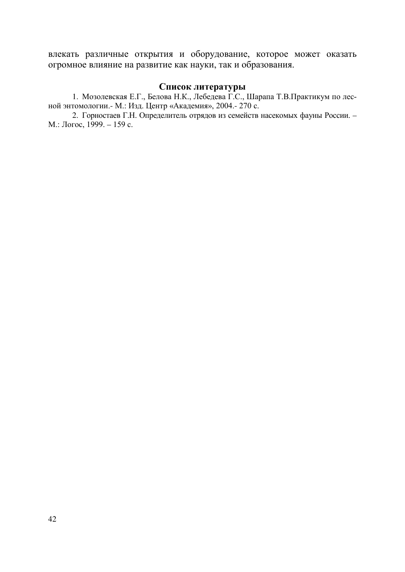влекать различные открытия и оборудование, которое может оказать огромное влияние на развитие как науки, так и образования.

#### Список литературы

1. Мозолевская Е.Г., Белова Н.К., Лебедева Г.С., Шарапа Т.В.Практикум по лесной энтомологии.- М.: Изд. Центр «Академия», 2004.- 270 с.

2. Горностаев Г.Н. Определитель отрядов из семейств насекомых фауны России. –  $M$ .: Joroc, 1999. – 159 c.